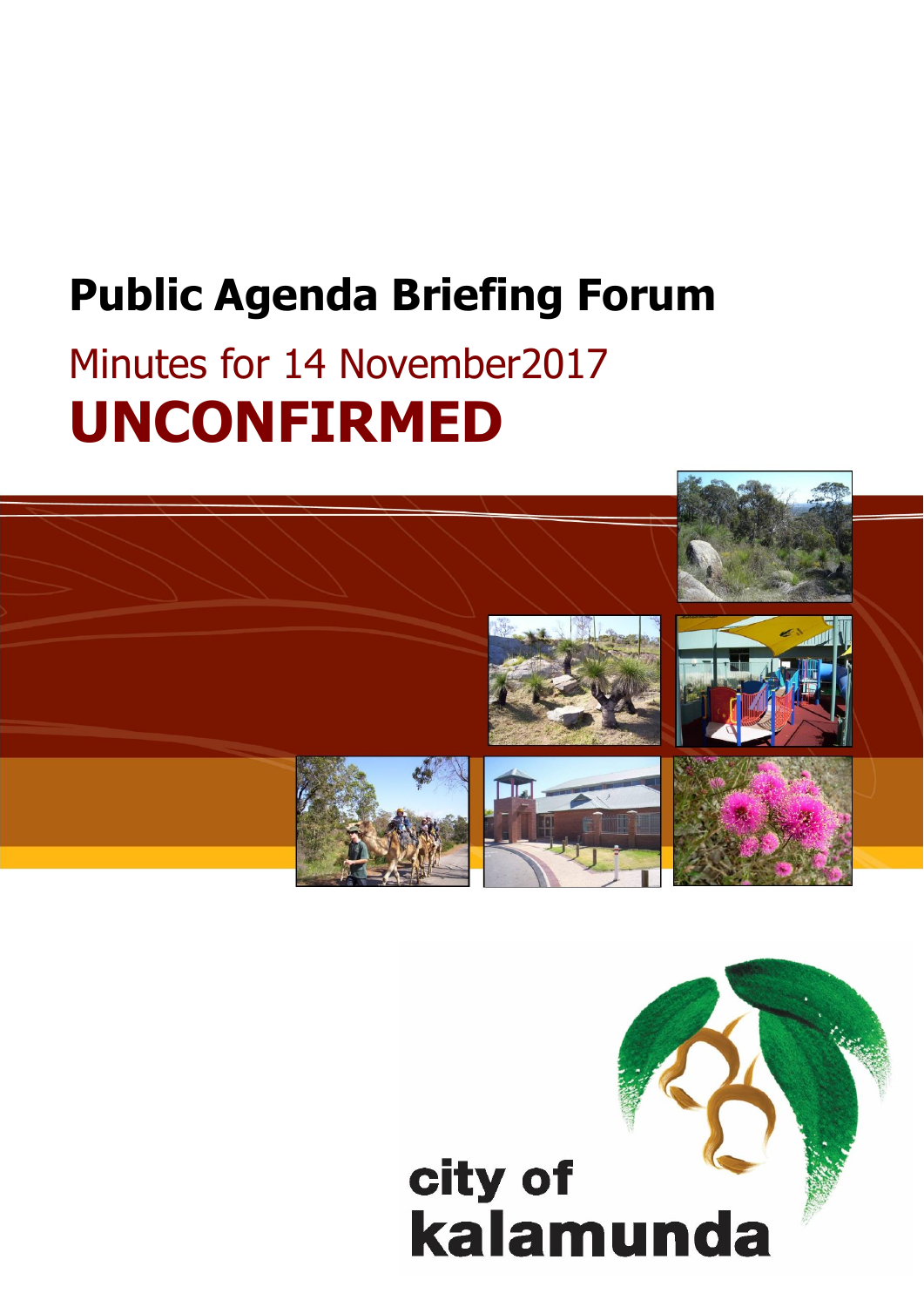## **Public Agenda Briefing Forum**

# Minutes for 14 November2017 **UNCONFIRMED**



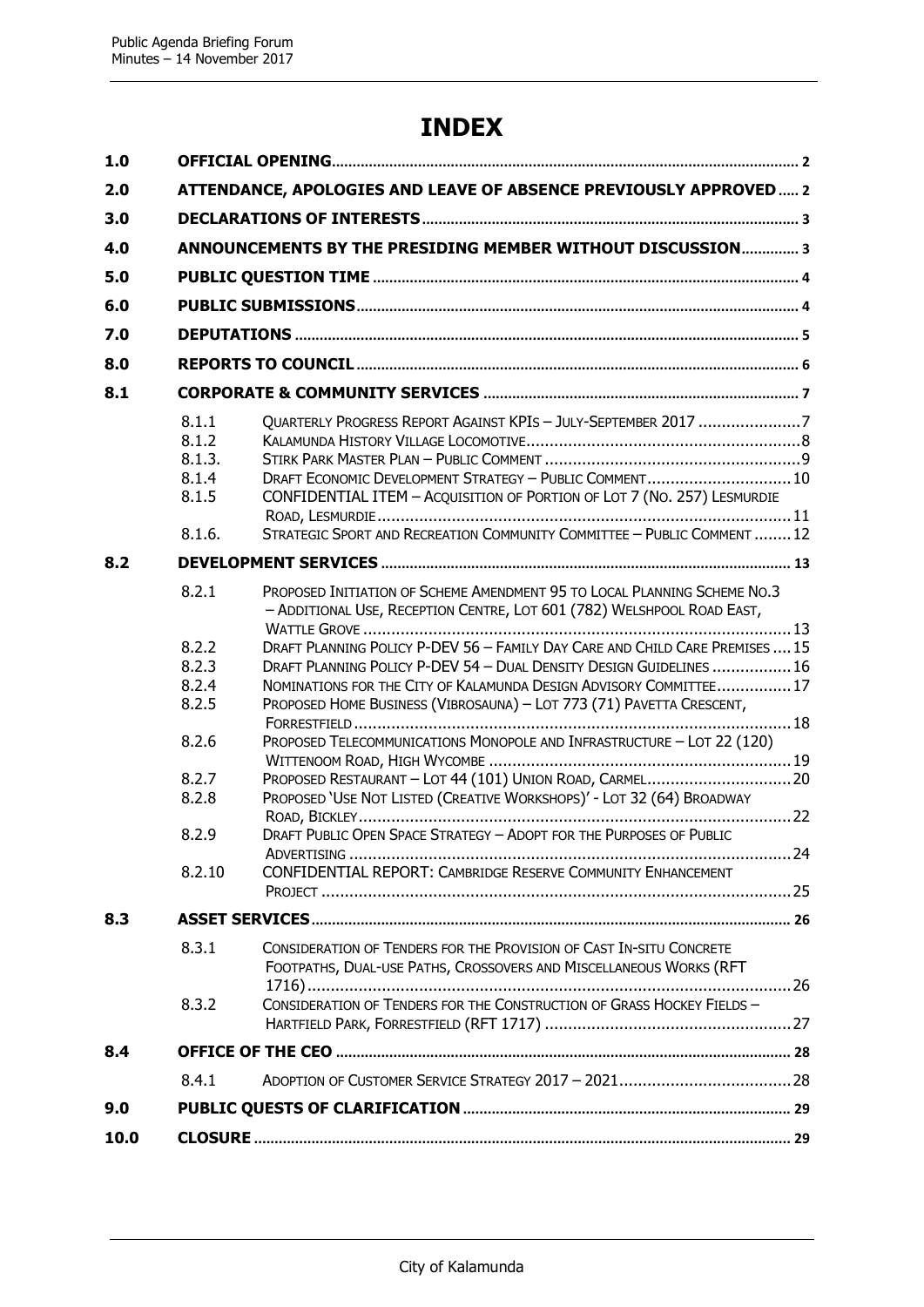### **INDEX**

| 1.0  |                                                                                                  |                                                                                                                                                                                                                                                                                                                                                                                                                                                                                                                                                                                                                                                                                                                                                                                                                    |  |  |
|------|--------------------------------------------------------------------------------------------------|--------------------------------------------------------------------------------------------------------------------------------------------------------------------------------------------------------------------------------------------------------------------------------------------------------------------------------------------------------------------------------------------------------------------------------------------------------------------------------------------------------------------------------------------------------------------------------------------------------------------------------------------------------------------------------------------------------------------------------------------------------------------------------------------------------------------|--|--|
| 2.0  |                                                                                                  | ATTENDANCE, APOLOGIES AND LEAVE OF ABSENCE PREVIOUSLY APPROVED 2                                                                                                                                                                                                                                                                                                                                                                                                                                                                                                                                                                                                                                                                                                                                                   |  |  |
| 3.0  |                                                                                                  |                                                                                                                                                                                                                                                                                                                                                                                                                                                                                                                                                                                                                                                                                                                                                                                                                    |  |  |
| 4.0  |                                                                                                  | ANNOUNCEMENTS BY THE PRESIDING MEMBER WITHOUT DISCUSSION 3                                                                                                                                                                                                                                                                                                                                                                                                                                                                                                                                                                                                                                                                                                                                                         |  |  |
| 5.0  |                                                                                                  |                                                                                                                                                                                                                                                                                                                                                                                                                                                                                                                                                                                                                                                                                                                                                                                                                    |  |  |
| 6.0  |                                                                                                  |                                                                                                                                                                                                                                                                                                                                                                                                                                                                                                                                                                                                                                                                                                                                                                                                                    |  |  |
|      |                                                                                                  |                                                                                                                                                                                                                                                                                                                                                                                                                                                                                                                                                                                                                                                                                                                                                                                                                    |  |  |
| 7.0  |                                                                                                  |                                                                                                                                                                                                                                                                                                                                                                                                                                                                                                                                                                                                                                                                                                                                                                                                                    |  |  |
| 8.0  |                                                                                                  |                                                                                                                                                                                                                                                                                                                                                                                                                                                                                                                                                                                                                                                                                                                                                                                                                    |  |  |
| 8.1  |                                                                                                  |                                                                                                                                                                                                                                                                                                                                                                                                                                                                                                                                                                                                                                                                                                                                                                                                                    |  |  |
|      | 8.1.1<br>8.1.2<br>8.1.3.<br>8.1.4<br>8.1.5<br>8.1.6.                                             | QUARTERLY PROGRESS REPORT AGAINST KPIS - JULY-SEPTEMBER 2017 7<br>DRAFT ECONOMIC DEVELOPMENT STRATEGY - PUBLIC COMMENT 10<br>CONFIDENTIAL ITEM - ACQUISITION OF PORTION OF LOT 7 (NO. 257) LESMURDIE<br>STRATEGIC SPORT AND RECREATION COMMUNITY COMMITTEE - PUBLIC COMMENT  12                                                                                                                                                                                                                                                                                                                                                                                                                                                                                                                                    |  |  |
| 8.2  |                                                                                                  |                                                                                                                                                                                                                                                                                                                                                                                                                                                                                                                                                                                                                                                                                                                                                                                                                    |  |  |
|      | 8.2.1                                                                                            | PROPOSED INITIATION OF SCHEME AMENDMENT 95 TO LOCAL PLANNING SCHEME NO.3<br>- ADDITIONAL USE, RECEPTION CENTRE, LOT 601 (782) WELSHPOOL ROAD EAST,                                                                                                                                                                                                                                                                                                                                                                                                                                                                                                                                                                                                                                                                 |  |  |
| 8.3  | 8.2.2<br>8.2.3<br>8.2.4<br>8.2.5<br>8.2.6<br>8.2.7<br>8.2.8<br>8.2.9<br>8.2.10<br>8.3.1<br>8.3.2 | DRAFT PLANNING POLICY P-DEV 56 - FAMILY DAY CARE AND CHILD CARE PREMISES  15<br>DRAFT PLANNING POLICY P-DEV 54 - DUAL DENSITY DESIGN GUIDELINES  16<br>NOMINATIONS FOR THE CITY OF KALAMUNDA DESIGN ADVISORY COMMITTEE 17<br>PROPOSED HOME BUSINESS (VIBROSAUNA) - LOT 773 (71) PAVETTA CRESCENT,<br>PROPOSED TELECOMMUNICATIONS MONOPOLE AND INFRASTRUCTURE - LOT 22 (120)<br>PROPOSED 'USE NOT LISTED (CREATIVE WORKSHOPS)' - LOT 32 (64) BROADWAY<br>DRAFT PUBLIC OPEN SPACE STRATEGY - ADOPT FOR THE PURPOSES OF PUBLIC<br>CONFIDENTIAL REPORT: CAMBRIDGE RESERVE COMMUNITY ENHANCEMENT<br>CONSIDERATION OF TENDERS FOR THE PROVISION OF CAST IN-SITU CONCRETE<br>FOOTPATHS, DUAL-USE PATHS, CROSSOVERS AND MISCELLANEOUS WORKS (RFT<br>CONSIDERATION OF TENDERS FOR THE CONSTRUCTION OF GRASS HOCKEY FIELDS - |  |  |
| 8.4  |                                                                                                  |                                                                                                                                                                                                                                                                                                                                                                                                                                                                                                                                                                                                                                                                                                                                                                                                                    |  |  |
|      | 8.4.1                                                                                            |                                                                                                                                                                                                                                                                                                                                                                                                                                                                                                                                                                                                                                                                                                                                                                                                                    |  |  |
| 9.0  |                                                                                                  |                                                                                                                                                                                                                                                                                                                                                                                                                                                                                                                                                                                                                                                                                                                                                                                                                    |  |  |
| 10.0 |                                                                                                  |                                                                                                                                                                                                                                                                                                                                                                                                                                                                                                                                                                                                                                                                                                                                                                                                                    |  |  |
|      |                                                                                                  |                                                                                                                                                                                                                                                                                                                                                                                                                                                                                                                                                                                                                                                                                                                                                                                                                    |  |  |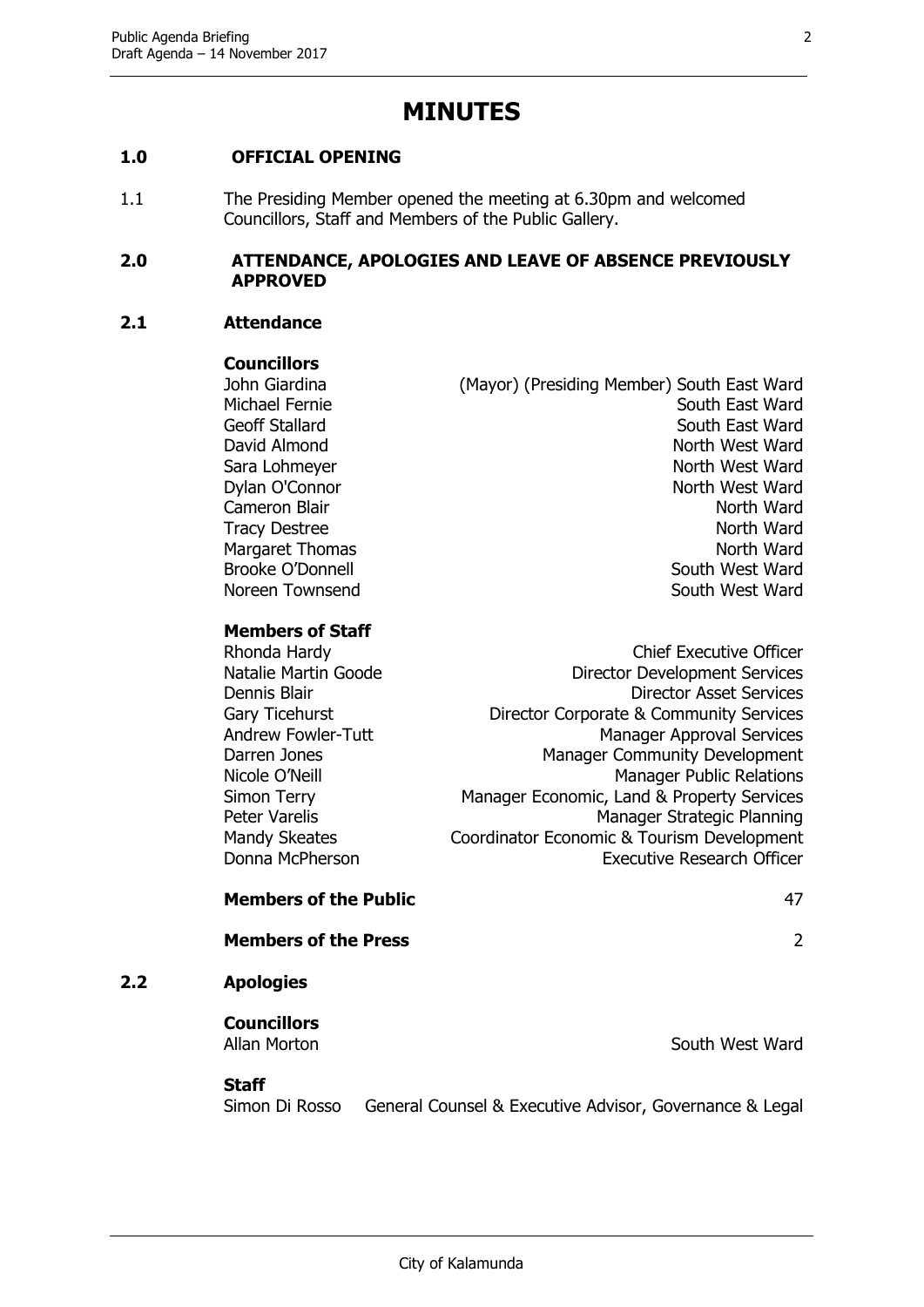### **MINUTES**

#### <span id="page-2-0"></span>**1.0 OFFICIAL OPENING**

1.1 The Presiding Member opened the meeting at 6.30pm and welcomed Councillors, Staff and Members of the Public Gallery.

#### <span id="page-2-1"></span>**2.0 ATTENDANCE, APOLOGIES AND LEAVE OF ABSENCE PREVIOUSLY APPROVED**

#### **2.1 Attendance**

#### **Councillors**

John Giardina (Mayor) (Presiding Member) South East Ward Michael Fernie South East Ward Geoff Stallard South East Ward David Almond North West Ward Sara Lohmeyer North West Ward Dylan O'Connor North West Ward Cameron Blair North Ward Tracy Destree North Ward Margaret Thomas North Ward Brooke O'Donnell **South West Ward** Noreen Townsend Noreen Townsend South West Ward

#### **Members of Staff**

| Rhonda Hardy         | <b>Chief Executive Officer</b>             |
|----------------------|--------------------------------------------|
| Natalie Martin Goode | <b>Director Development Services</b>       |
| Dennis Blair         | <b>Director Asset Services</b>             |
| Gary Ticehurst       | Director Corporate & Community Services    |
| Andrew Fowler-Tutt   | <b>Manager Approval Services</b>           |
| Darren Jones         | Manager Community Development              |
| Nicole O'Neill       | <b>Manager Public Relations</b>            |
| Simon Terry          | Manager Economic, Land & Property Services |
| Peter Varelis        | Manager Strategic Planning                 |
| <b>Mandy Skeates</b> | Coordinator Economic & Tourism Development |
| Donna McPherson      | <b>Executive Research Officer</b>          |
|                      |                                            |

#### **Members of the Public** 47

**Members of the Press** 2

#### **2.2 Apologies**

## **Councillors**

Allan Morton **South West Ward** 

**Staff**

Simon Di Rosso General Counsel & Executive Advisor, Governance & Legal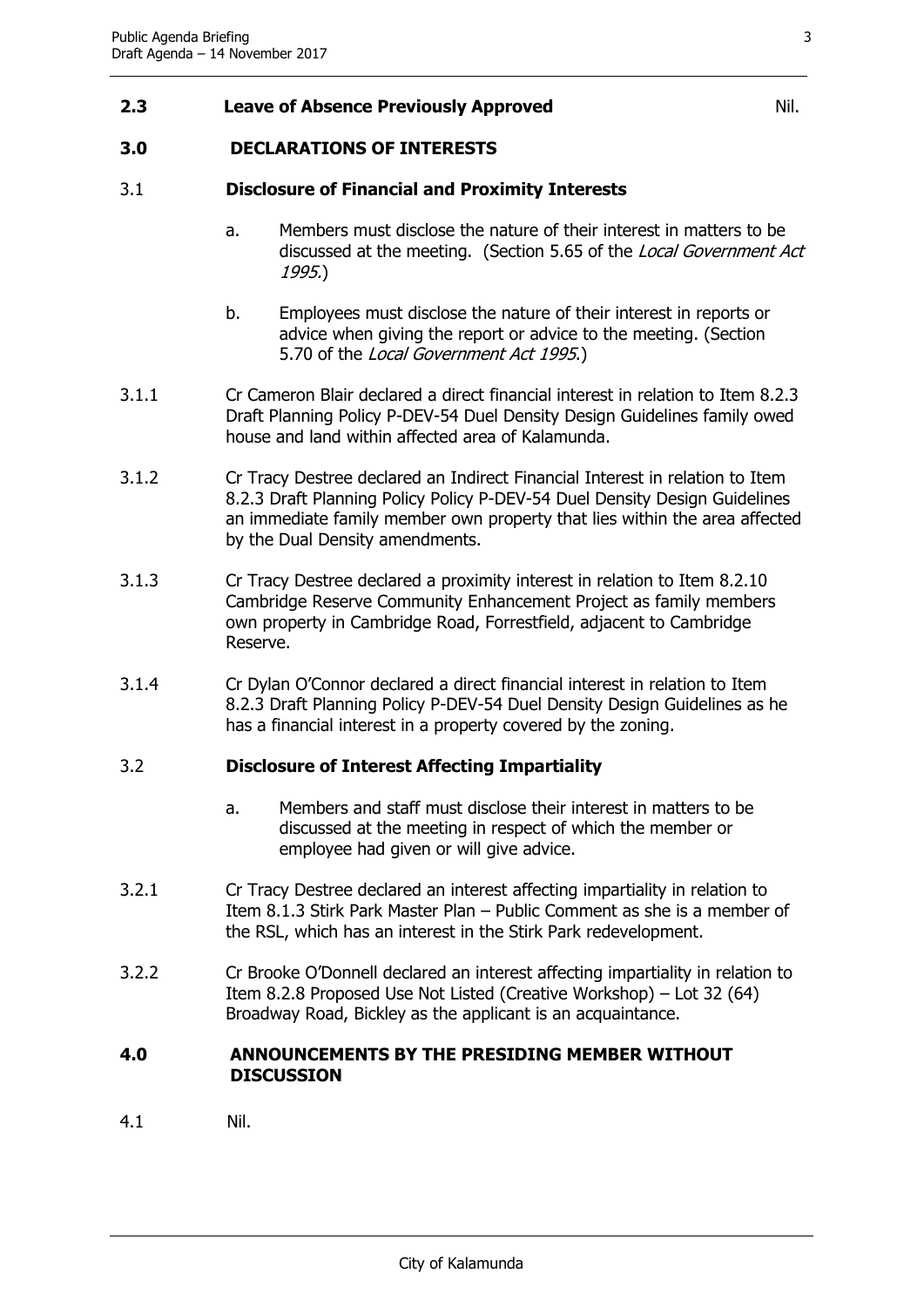#### **2.3 Leave of Absence Previously Approved** Nil.

#### <span id="page-3-0"></span>**3.0 DECLARATIONS OF INTERESTS**

#### 3.1 **Disclosure of Financial and Proximity Interests**

- a. Members must disclose the nature of their interest in matters to be discussed at the meeting. (Section 5.65 of the Local Government Act 1995.)
- b. Employees must disclose the nature of their interest in reports or advice when giving the report or advice to the meeting. (Section 5.70 of the Local Government Act 1995.)
- 3.1.1 Cr Cameron Blair declared a direct financial interest in relation to Item 8.2.3 Draft Planning Policy P-DEV-54 Duel Density Design Guidelines family owed house and land within affected area of Kalamunda.
- 3.1.2 Cr Tracy Destree declared an Indirect Financial Interest in relation to Item 8.2.3 Draft Planning Policy Policy P-DEV-54 Duel Density Design Guidelines an immediate family member own property that lies within the area affected by the Dual Density amendments.
- 3.1.3 Cr Tracy Destree declared a proximity interest in relation to Item 8.2.10 Cambridge Reserve Community Enhancement Project as family members own property in Cambridge Road, Forrestfield, adjacent to Cambridge Reserve.
- 3.1.4 Cr Dylan O'Connor declared a direct financial interest in relation to Item 8.2.3 Draft Planning Policy P-DEV-54 Duel Density Design Guidelines as he has a financial interest in a property covered by the zoning.

#### 3.2 **Disclosure of Interest Affecting Impartiality**

- a. Members and staff must disclose their interest in matters to be discussed at the meeting in respect of which the member or employee had given or will give advice.
- 3.2.1 Cr Tracy Destree declared an interest affecting impartiality in relation to Item 8.1.3 Stirk Park Master Plan – Public Comment as she is a member of the RSL, which has an interest in the Stirk Park redevelopment.
- 3.2.2 Cr Brooke O'Donnell declared an interest affecting impartiality in relation to Item 8.2.8 Proposed Use Not Listed (Creative Workshop) – Lot 32 (64) Broadway Road, Bickley as the applicant is an acquaintance.

#### <span id="page-3-1"></span>**4.0 ANNOUNCEMENTS BY THE PRESIDING MEMBER WITHOUT DISCUSSION**

4.1 Nil.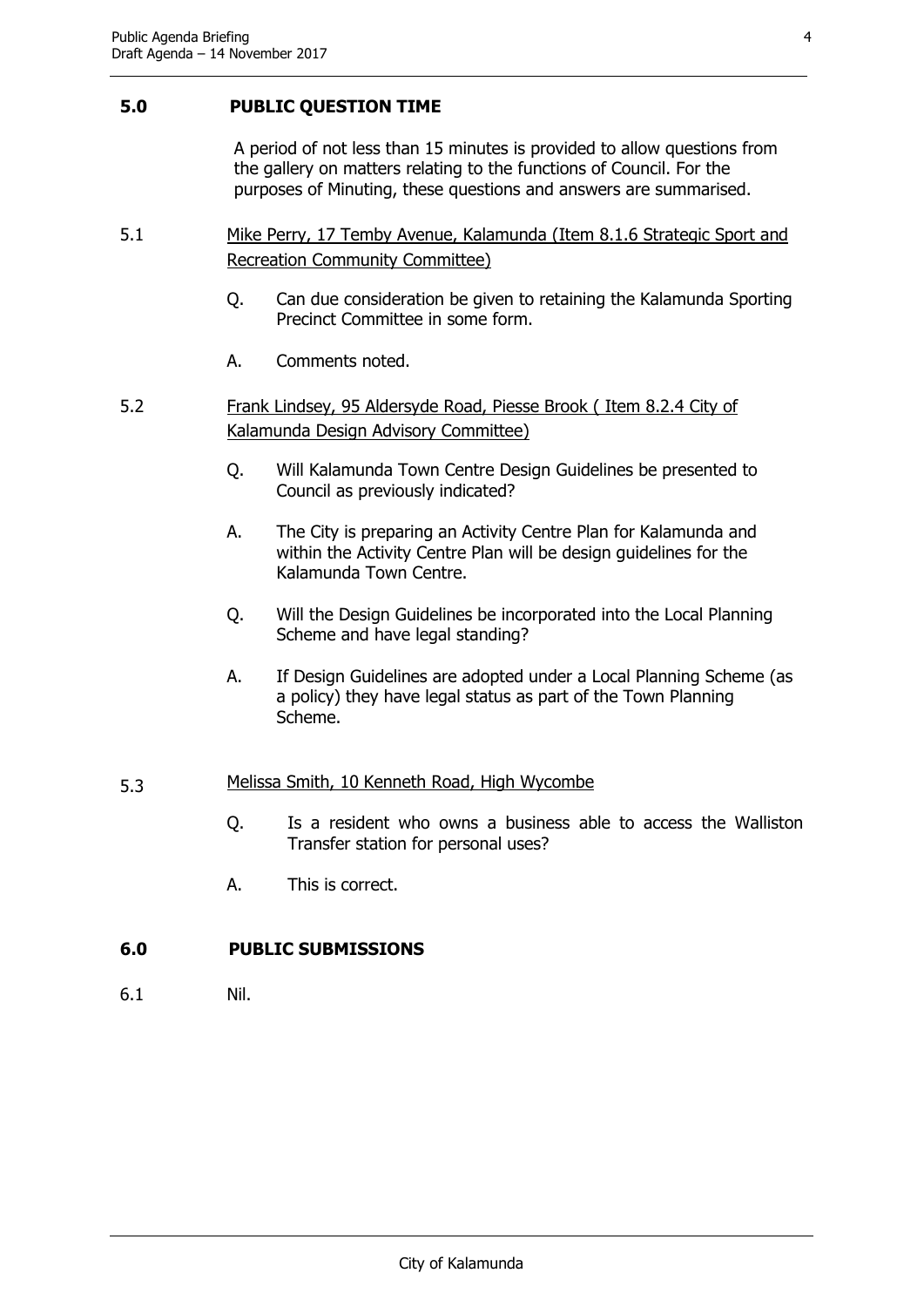#### <span id="page-4-0"></span>**5.0 PUBLIC QUESTION TIME**

A period of not less than 15 minutes is provided to allow questions from the gallery on matters relating to the functions of Council. For the purposes of Minuting, these questions and answers are summarised.

- 5.1 Mike Perry, 17 Temby Avenue, Kalamunda (Item 8.1.6 Strategic Sport and Recreation Community Committee)
	- Q. Can due consideration be given to retaining the Kalamunda Sporting Precinct Committee in some form.
	- A. Comments noted.
- 5.2 Frank Lindsey, 95 Aldersyde Road, Piesse Brook ( Item 8.2.4 City of Kalamunda Design Advisory Committee)
	- Q. Will Kalamunda Town Centre Design Guidelines be presented to Council as previously indicated?
	- A. The City is preparing an Activity Centre Plan for Kalamunda and within the Activity Centre Plan will be design guidelines for the Kalamunda Town Centre.
	- Q. Will the Design Guidelines be incorporated into the Local Planning Scheme and have legal standing?
	- A. If Design Guidelines are adopted under a Local Planning Scheme (as a policy) they have legal status as part of the Town Planning Scheme.

#### 5.3 Melissa Smith, 10 Kenneth Road, High Wycombe

- Q. Is a resident who owns a business able to access the Walliston Transfer station for personal uses?
- A. This is correct.

#### <span id="page-4-1"></span>**6.0 PUBLIC SUBMISSIONS**

6.1 Nil.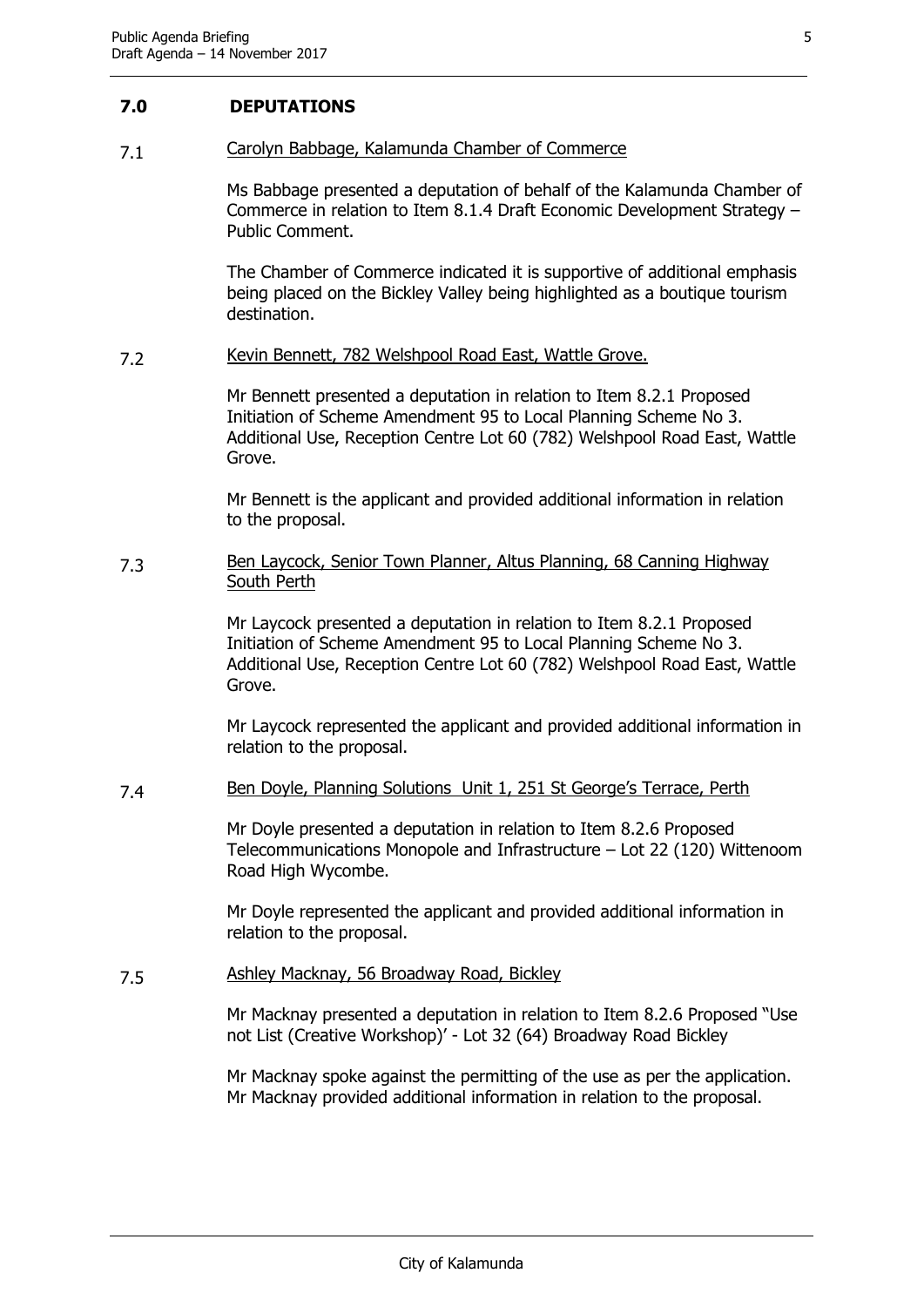#### <span id="page-5-0"></span>**7.0 DEPUTATIONS**

#### 7.1 Carolyn Babbage, Kalamunda Chamber of Commerce

Ms Babbage presented a deputation of behalf of the Kalamunda Chamber of Commerce in relation to Item 8.1.4 Draft Economic Development Strategy – Public Comment.

The Chamber of Commerce indicated it is supportive of additional emphasis being placed on the Bickley Valley being highlighted as a boutique tourism destination.

#### 7.2 Kevin Bennett, 782 Welshpool Road East, Wattle Grove.

Mr Bennett presented a deputation in relation to Item 8.2.1 Proposed Initiation of Scheme Amendment 95 to Local Planning Scheme No 3. Additional Use, Reception Centre Lot 60 (782) Welshpool Road East, Wattle Grove.

Mr Bennett is the applicant and provided additional information in relation to the proposal.

#### 7.3 Ben Laycock, Senior Town Planner, Altus Planning, 68 Canning Highway South Perth

Mr Laycock presented a deputation in relation to Item 8.2.1 Proposed Initiation of Scheme Amendment 95 to Local Planning Scheme No 3. Additional Use, Reception Centre Lot 60 (782) Welshpool Road East, Wattle Grove.

Mr Laycock represented the applicant and provided additional information in relation to the proposal.

#### 7.4 Ben Doyle, Planning Solutions Unit 1, 251 St George's Terrace, Perth

Mr Doyle presented a deputation in relation to Item 8.2.6 Proposed Telecommunications Monopole and Infrastructure – Lot 22 (120) Wittenoom Road High Wycombe.

Mr Doyle represented the applicant and provided additional information in relation to the proposal.

#### 7.5 Ashley Macknay, 56 Broadway Road, Bickley

Mr Macknay presented a deputation in relation to Item 8.2.6 Proposed "Use not List (Creative Workshop)' - Lot 32 (64) Broadway Road Bickley

Mr Macknay spoke against the permitting of the use as per the application. Mr Macknay provided additional information in relation to the proposal.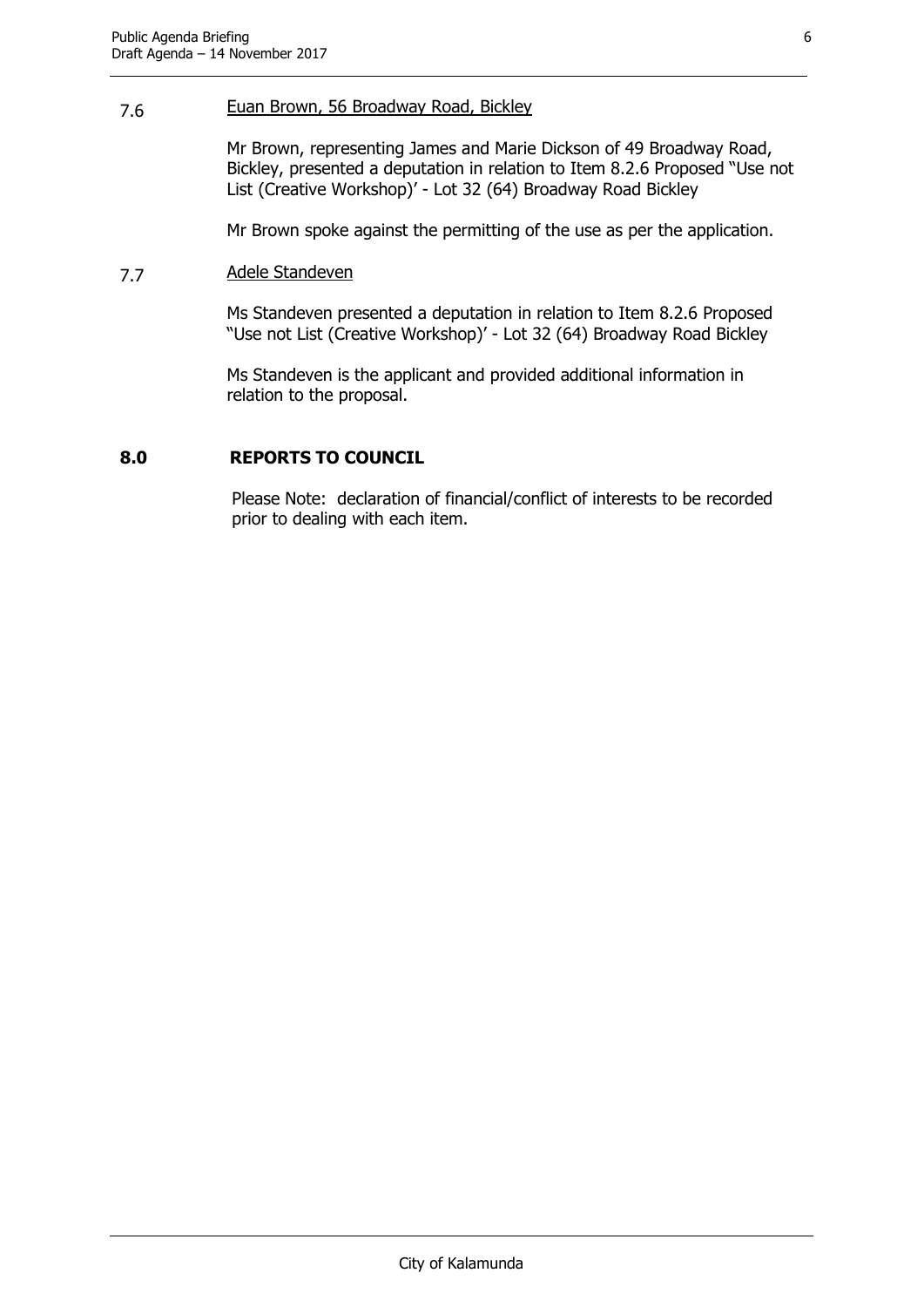#### 7.6 Euan Brown, 56 Broadway Road, Bickley

Mr Brown, representing James and Marie Dickson of 49 Broadway Road, Bickley, presented a deputation in relation to Item 8.2.6 Proposed "Use not List (Creative Workshop)' - Lot 32 (64) Broadway Road Bickley

Mr Brown spoke against the permitting of the use as per the application.

#### 7.7 Adele Standeven

Ms Standeven presented a deputation in relation to Item 8.2.6 Proposed "Use not List (Creative Workshop)' - Lot 32 (64) Broadway Road Bickley

Ms Standeven is the applicant and provided additional information in relation to the proposal.

#### <span id="page-6-0"></span>**8.0 REPORTS TO COUNCIL**

Please Note: declaration of financial/conflict of interests to be recorded prior to dealing with each item.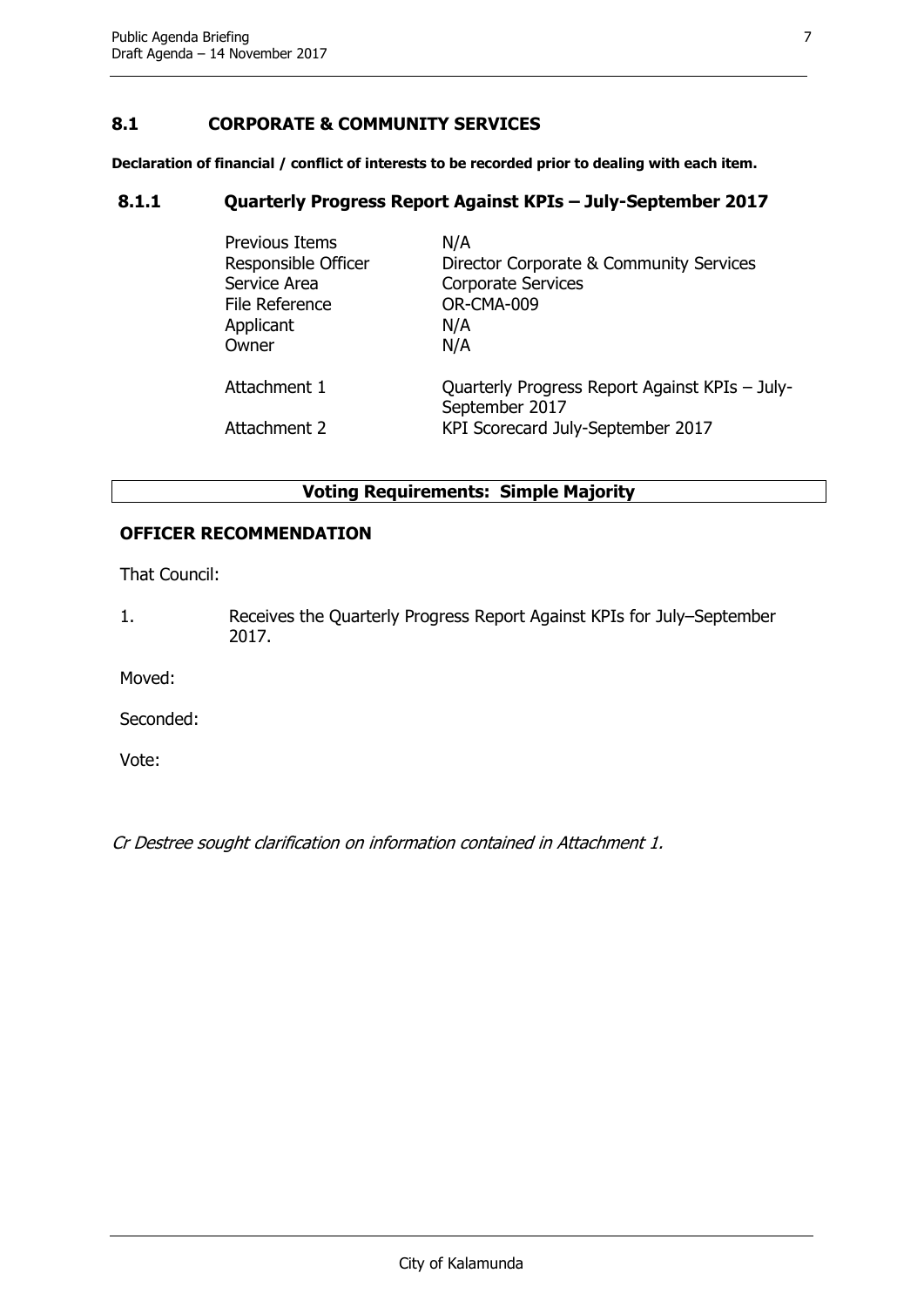#### <span id="page-7-0"></span>**8.1 CORPORATE & COMMUNITY SERVICES**

**Declaration of financial / conflict of interests to be recorded prior to dealing with each item.**

#### <span id="page-7-1"></span>**8.1.1 Quarterly Progress Report Against KPIs – July-September 2017**

| <b>Previous Items</b>        | N/A                                                                                                   |
|------------------------------|-------------------------------------------------------------------------------------------------------|
| Responsible Officer          | Director Corporate & Community Services                                                               |
| Service Area                 | <b>Corporate Services</b>                                                                             |
| File Reference               | OR-CMA-009                                                                                            |
| Applicant                    | N/A                                                                                                   |
| Owner                        | N/A                                                                                                   |
| Attachment 1<br>Attachment 2 | Quarterly Progress Report Against KPIs - July-<br>September 2017<br>KPI Scorecard July-September 2017 |

#### **Voting Requirements: Simple Majority**

#### **OFFICER RECOMMENDATION**

That Council:

1. Receives the Quarterly Progress Report Against KPIs for July–September 2017.

Moved:

Seconded:

Vote:

Cr Destree sought clarification on information contained in Attachment 1.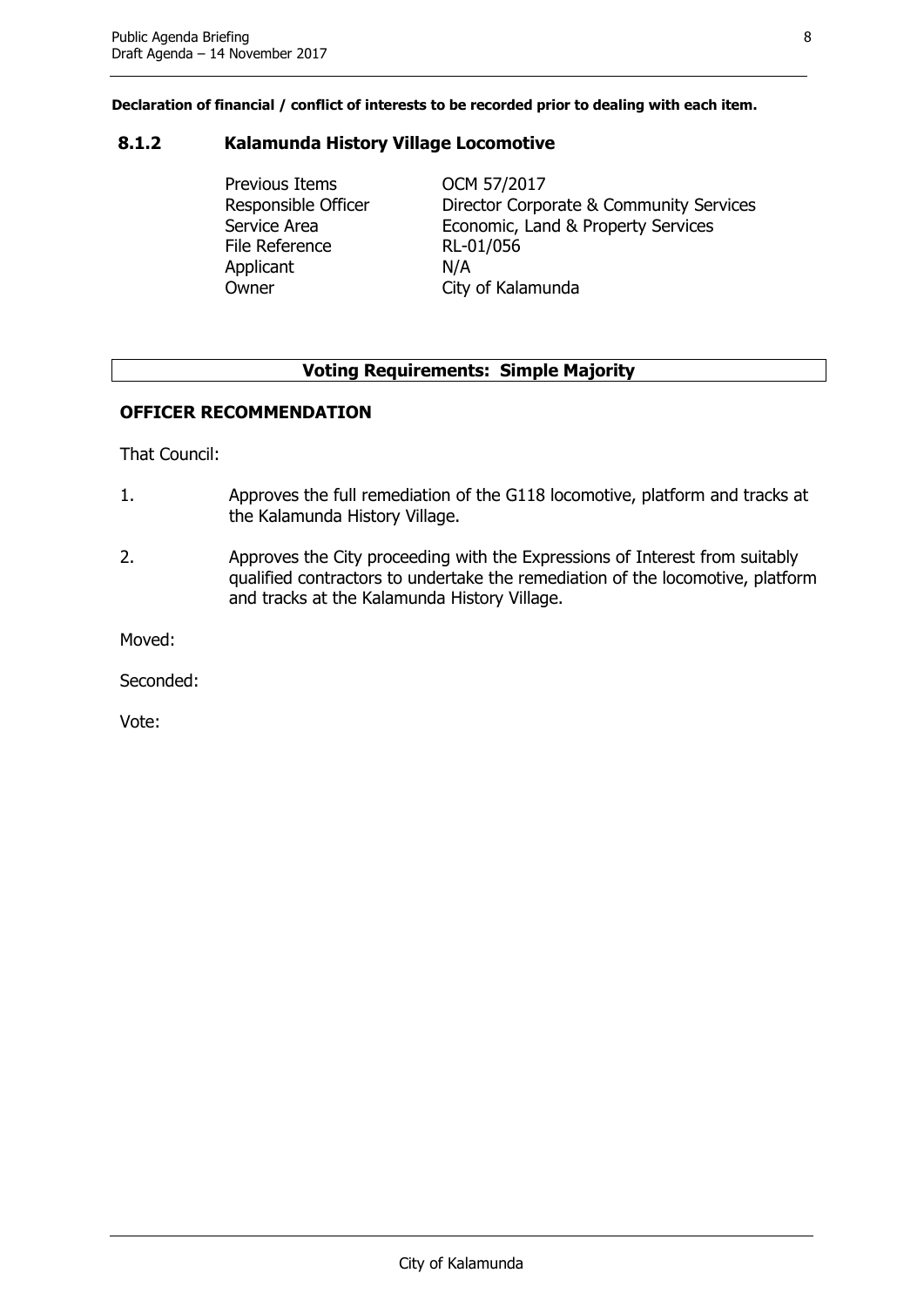#### <span id="page-8-0"></span>**8.1.2 Kalamunda History Village Locomotive**

Previous Items OCM 57/2017 Responsible Officer Director Corporate & Community Services Service Area **Economic, Land & Property Services** File Reference RL-01/056 Applicant N/A Owner City of Kalamunda

#### **Voting Requirements: Simple Majority**

#### **OFFICER RECOMMENDATION**

That Council:

- 1. Approves the full remediation of the G118 locomotive, platform and tracks at the Kalamunda History Village.
- 2. Approves the City proceeding with the Expressions of Interest from suitably qualified contractors to undertake the remediation of the locomotive, platform and tracks at the Kalamunda History Village.

Moved:

Seconded: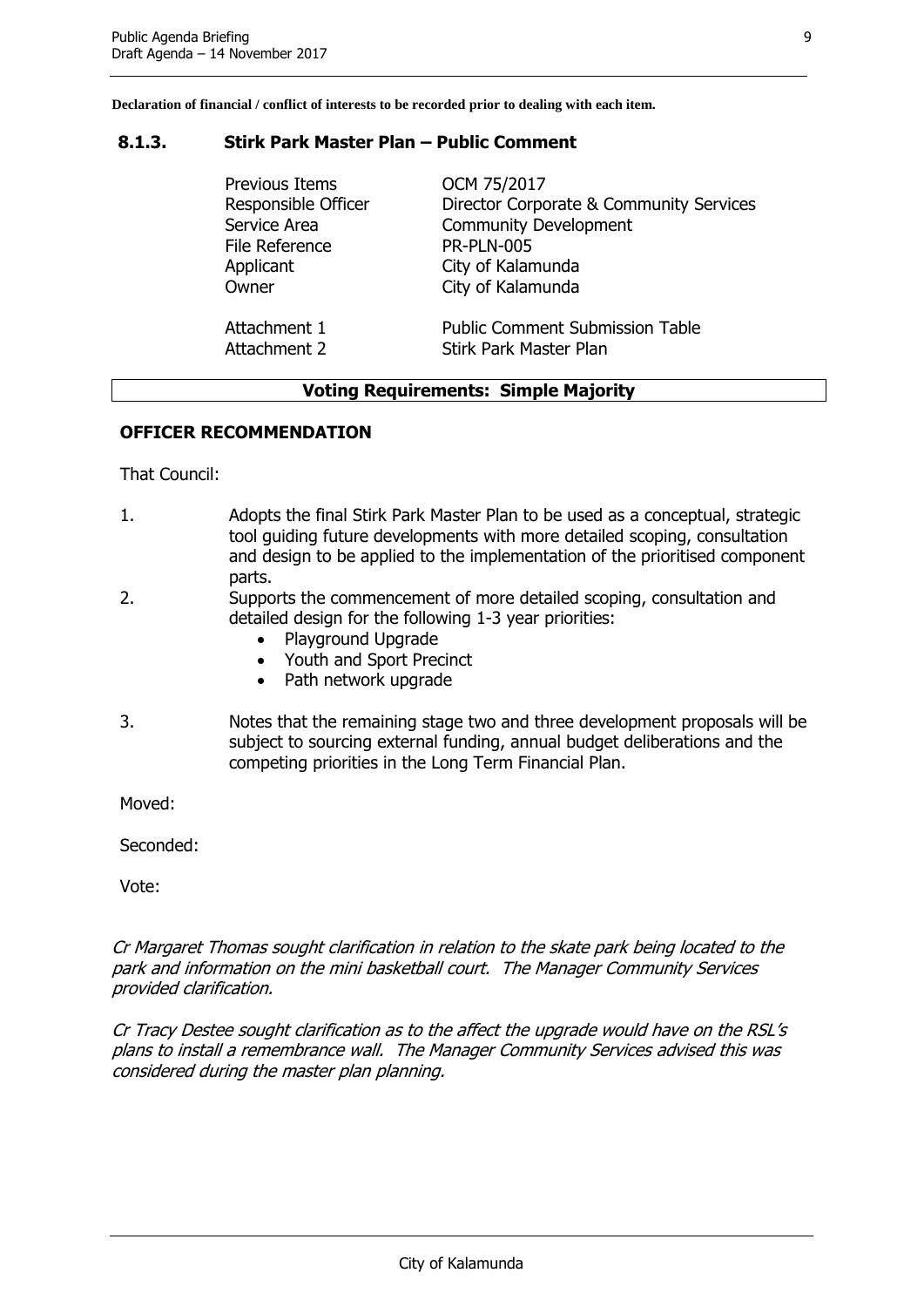#### <span id="page-9-0"></span>**8.1.3. Stirk Park Master Plan – Public Comment**

| <b>Previous Items</b> | OCM 75/2017                             |
|-----------------------|-----------------------------------------|
| Responsible Officer   | Director Corporate & Community Services |
| Service Area          | <b>Community Development</b>            |
| <b>File Reference</b> | <b>PR-PLN-005</b>                       |
| Applicant             | City of Kalamunda                       |
| Owner                 | City of Kalamunda                       |
| Attachment 1          | <b>Public Comment Submission Table</b>  |
| Attachment 2          | Stirk Park Master Plan                  |

#### **Voting Requirements: Simple Majority**

#### **OFFICER RECOMMENDATION**

That Council:

- 1. Adopts the final Stirk Park Master Plan to be used as a conceptual, strategic tool guiding future developments with more detailed scoping, consultation and design to be applied to the implementation of the prioritised component parts.
- 2. Supports the commencement of more detailed scoping, consultation and detailed design for the following 1-3 year priorities:
	- Playground Upgrade
	- Youth and Sport Precinct
	- Path network upgrade
- 3. Notes that the remaining stage two and three development proposals will be subject to sourcing external funding, annual budget deliberations and the competing priorities in the Long Term Financial Plan.

Moved:

Seconded:

Vote:

Cr Margaret Thomas sought clarification in relation to the skate park being located to the park and information on the mini basketball court. The Manager Community Services provided clarification.

Cr Tracy Destee sought clarification as to the affect the upgrade would have on the RSL's plans to install a remembrance wall. The Manager Community Services advised this was considered during the master plan planning.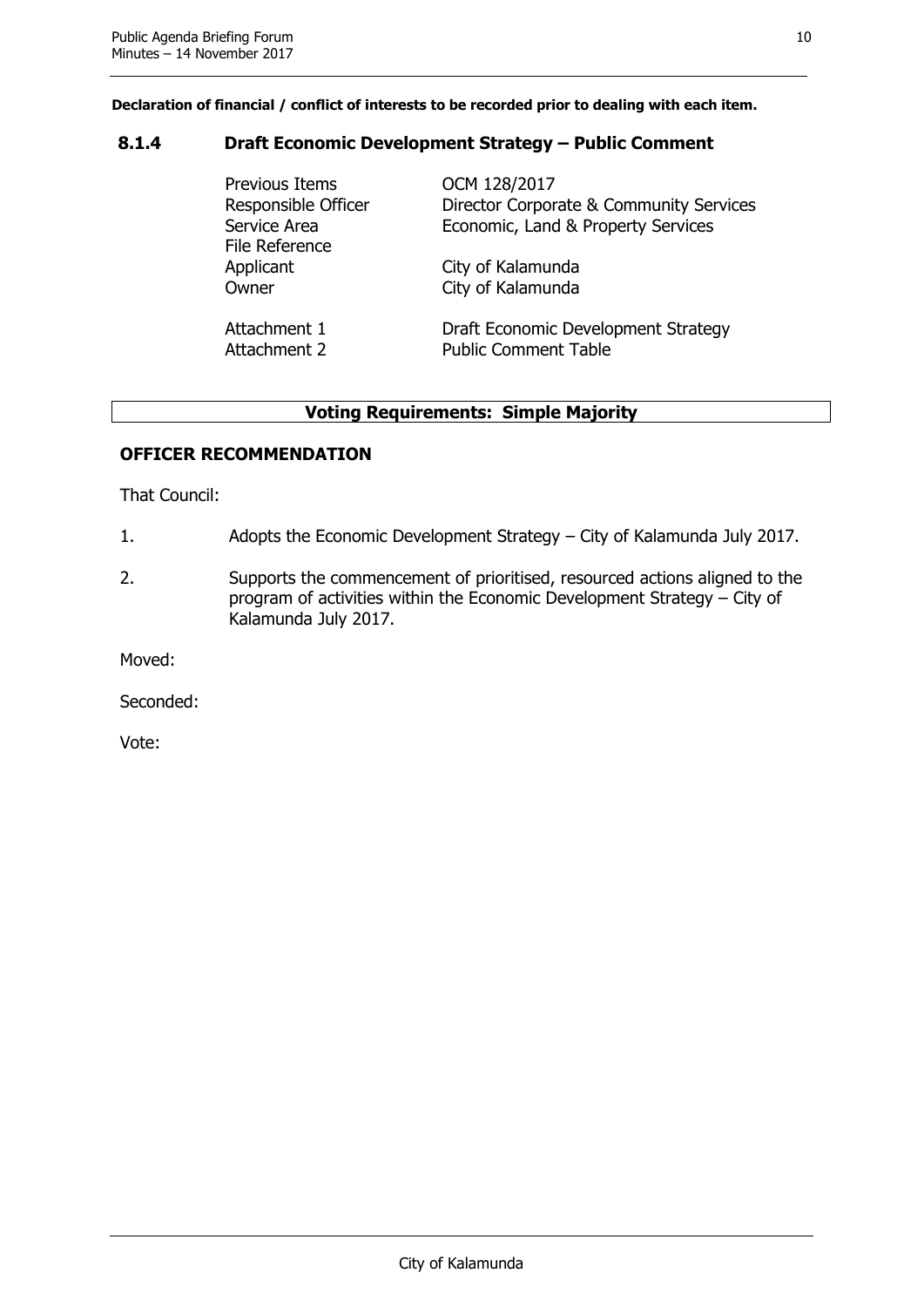#### <span id="page-10-0"></span>**8.1.4 Draft Economic Development Strategy – Public Comment**

| Previous Items<br>Responsible Officer<br>Service Area<br><b>File Reference</b> | OCM 128/2017<br>Director Corporate & Community Services<br>Economic, Land & Property Services |
|--------------------------------------------------------------------------------|-----------------------------------------------------------------------------------------------|
| Applicant                                                                      | City of Kalamunda                                                                             |
| Owner                                                                          | City of Kalamunda                                                                             |
| Attachment 1                                                                   | Draft Economic Development Strategy                                                           |
| Attachment 2                                                                   | <b>Public Comment Table</b>                                                                   |

#### **Voting Requirements: Simple Majority**

#### **OFFICER RECOMMENDATION**

That Council:

- 1. Adopts the Economic Development Strategy City of Kalamunda July 2017.
- 2. Supports the commencement of prioritised, resourced actions aligned to the program of activities within the Economic Development Strategy – City of Kalamunda July 2017.

Moved:

Seconded: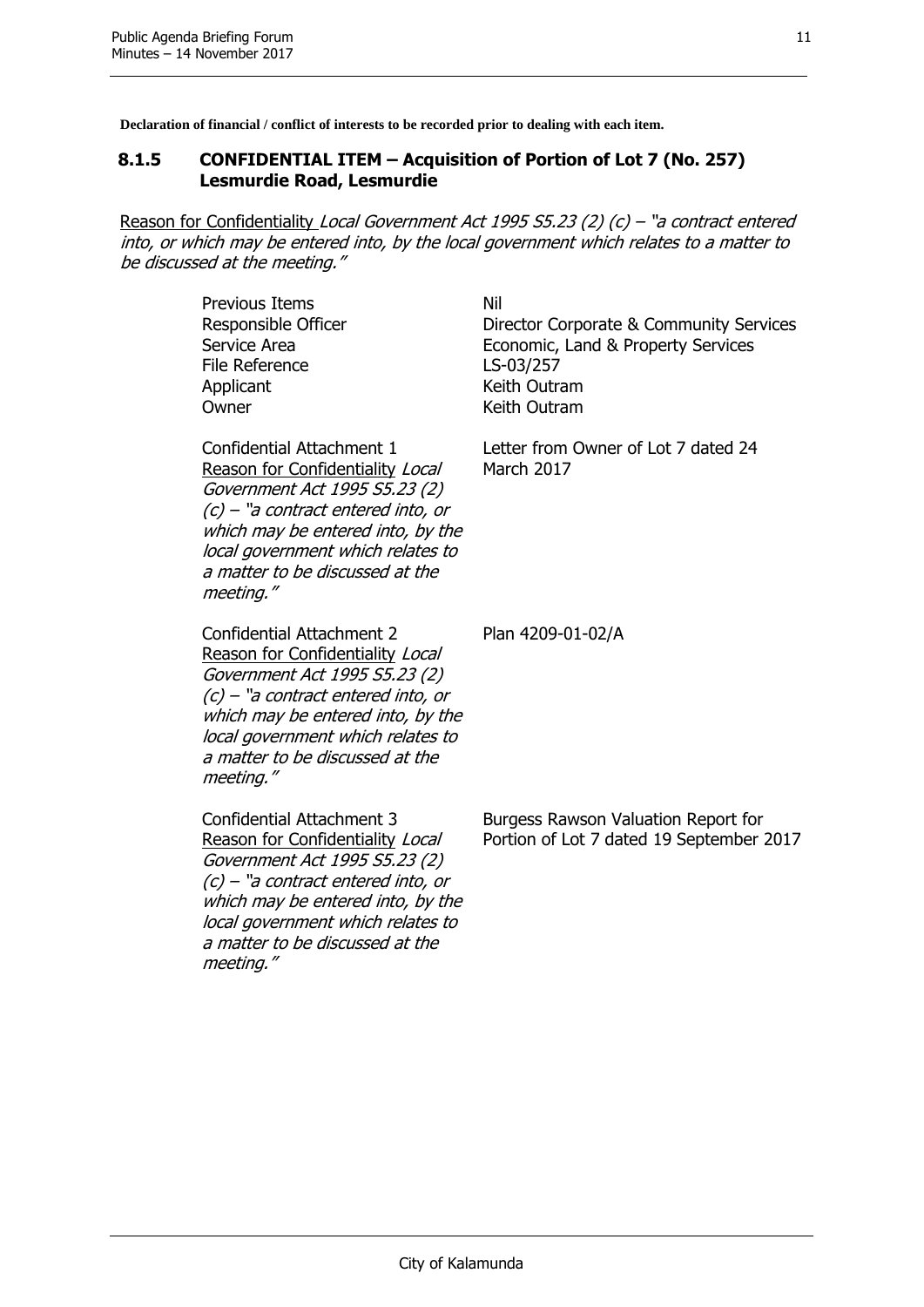#### <span id="page-11-0"></span>**8.1.5 CONFIDENTIAL ITEM – Acquisition of Portion of Lot 7 (No. 257) Lesmurdie Road, Lesmurdie**

Reason for Confidentiality Local Government Act 1995 S5.23 (2) (c) - "a contract entered into, or which may be entered into, by the local government which relates to a matter to be discussed at the meeting."

| <b>Previous Items</b><br>Responsible Officer<br>Service Area<br>File Reference<br>Applicant<br>Owner                                                                                                                                                                    | Nil<br>Director Corporate & Community Services<br>Economic, Land & Property Services<br>LS-03/257<br>Keith Outram<br>Keith Outram |
|-------------------------------------------------------------------------------------------------------------------------------------------------------------------------------------------------------------------------------------------------------------------------|-----------------------------------------------------------------------------------------------------------------------------------|
| <b>Confidential Attachment 1</b><br>Reason for Confidentiality Local<br>Government Act 1995 S5.23 (2)<br>$(c)$ – "a contract entered into, or<br>which may be entered into, by the<br>local government which relates to<br>a matter to be discussed at the<br>meeting." | Letter from Owner of Lot 7 dated 24<br><b>March 2017</b>                                                                          |
| Confidential Attachment 2<br>Reason for Confidentiality Local<br>Government Act 1995 S5.23 (2)<br>$(c)$ – "a contract entered into, or<br>which may be entered into, by the<br>local government which relates to<br>a matter to be discussed at the<br>meeting."        | Plan 4209-01-02/A                                                                                                                 |
| Confidential Attachment 3<br>Reason for Confidentiality Local<br>Government Act 1995 S5.23 (2)<br>$(c)$ – "a contract entered into, or<br>which may be entered into, by the<br>local government which relates to<br>a matter to be discussed at the<br>meeting."        | Burgess Rawson Valuation Report for<br>Portion of Lot 7 dated 19 September 2017                                                   |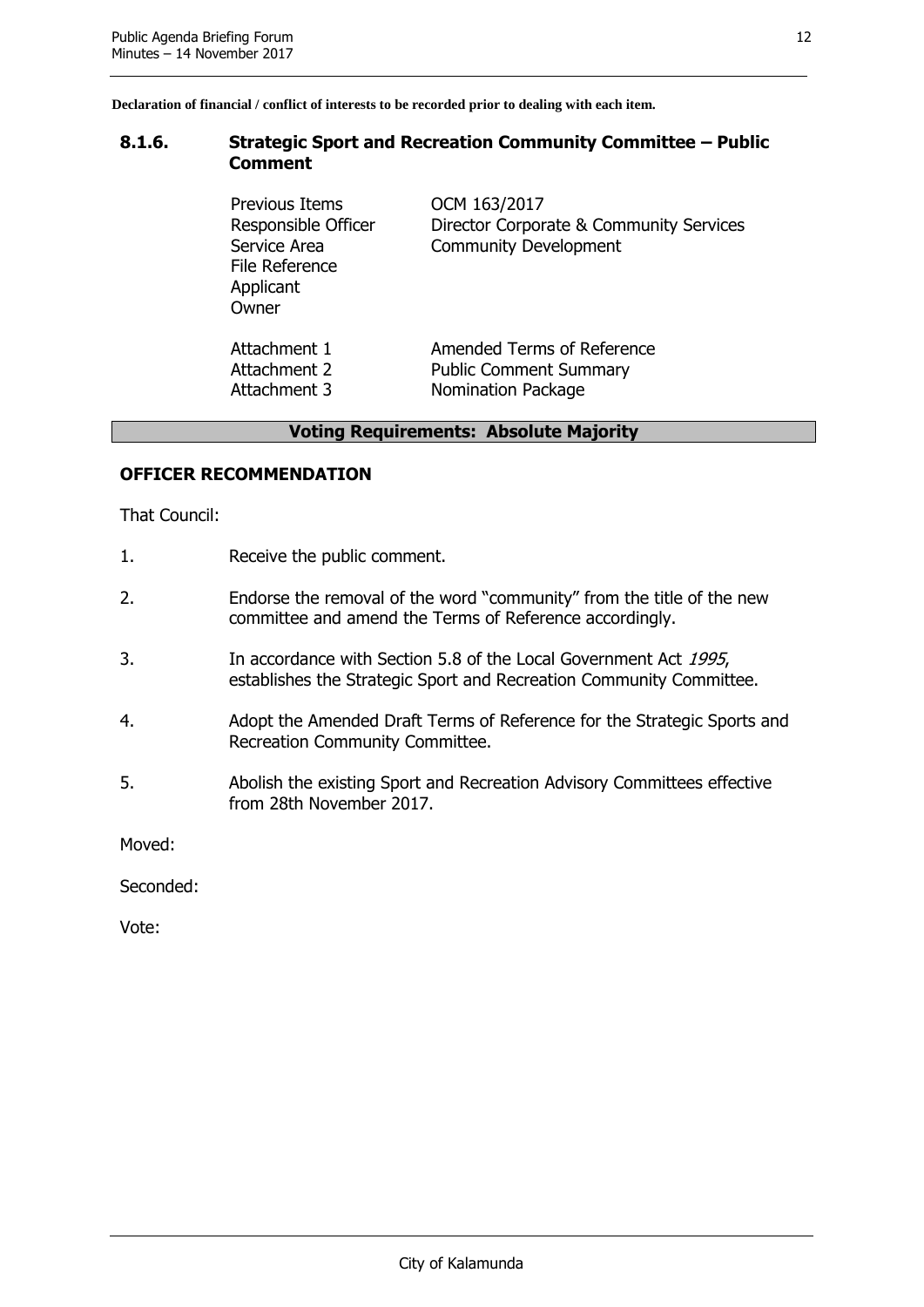#### <span id="page-12-0"></span>**8.1.6. Strategic Sport and Recreation Community Committee – Public Comment**

Previous Items **OCM 163/2017** File Reference **Applicant Owner** 

Responsible Officer Director Corporate & Community Services Service Area **Community Development** 

Attachment 1 **Amended Terms of Reference** Attachment 2 Public Comment Summary Attachment 3 Nomination Package

#### **Voting Requirements: Absolute Majority**

#### **OFFICER RECOMMENDATION**

That Council:

- 1. Receive the public comment.
- 2. Endorse the removal of the word "community" from the title of the new committee and amend the Terms of Reference accordingly.
- 3. In accordance with Section 5.8 of the Local Government Act 1995, establishes the Strategic Sport and Recreation Community Committee.
- 4. Adopt the Amended Draft Terms of Reference for the Strategic Sports and Recreation Community Committee.
- 5. Abolish the existing Sport and Recreation Advisory Committees effective from 28th November 2017.

Moved:

Seconded: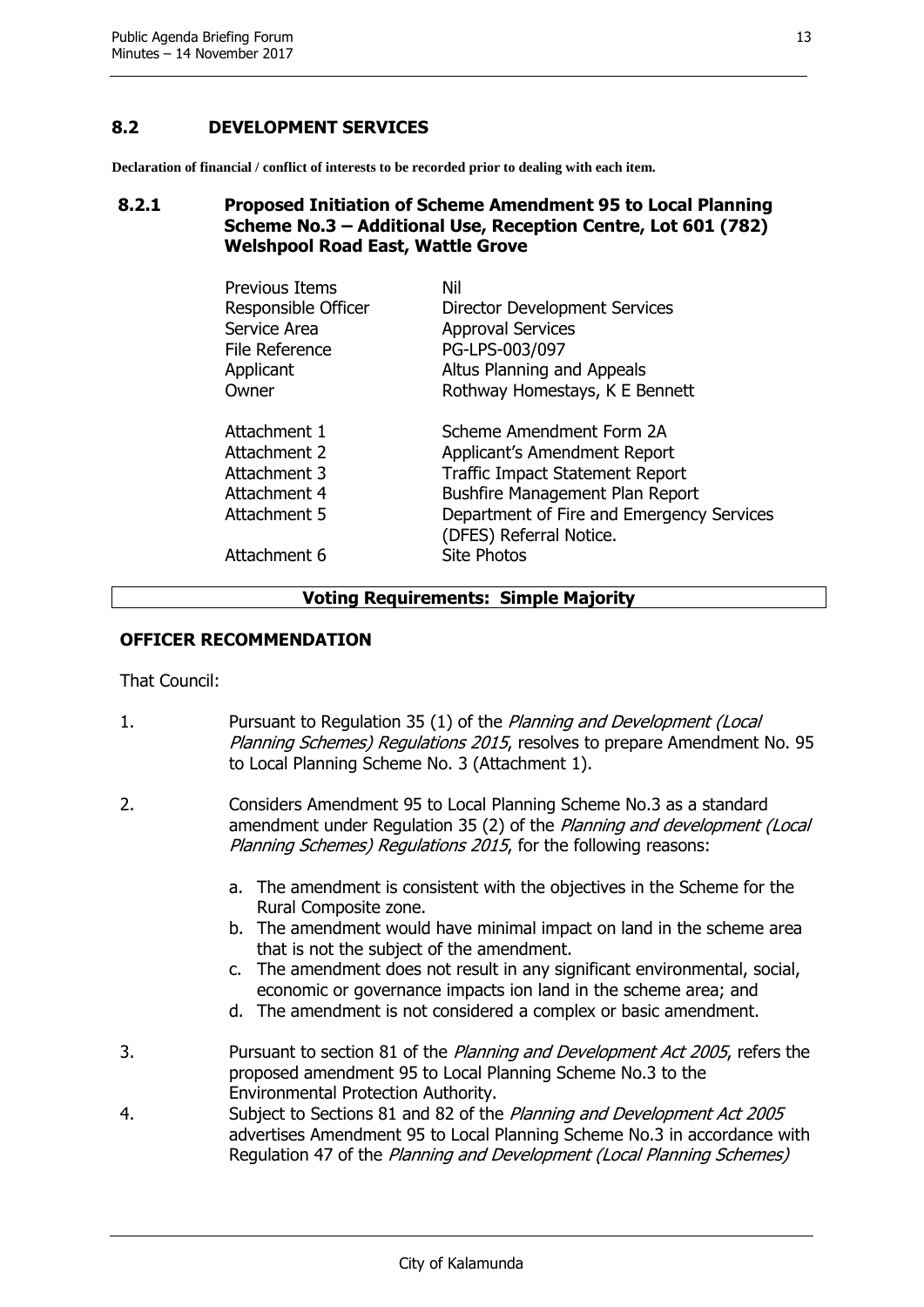#### <span id="page-13-0"></span>**8.2 DEVELOPMENT SERVICES**

**Declaration of financial / conflict of interests to be recorded prior to dealing with each item.**

#### <span id="page-13-1"></span>**8.2.1 Proposed Initiation of Scheme Amendment 95 to Local Planning Scheme No.3 – Additional Use, Reception Centre, Lot 601 (782) Welshpool Road East, Wattle Grove**

| Previous Items                                                                               | Nil                                                                                                                                                                                                                                        |
|----------------------------------------------------------------------------------------------|--------------------------------------------------------------------------------------------------------------------------------------------------------------------------------------------------------------------------------------------|
| Responsible Officer                                                                          | Director Development Services                                                                                                                                                                                                              |
| Service Area                                                                                 | <b>Approval Services</b>                                                                                                                                                                                                                   |
| File Reference                                                                               | PG-LPS-003/097                                                                                                                                                                                                                             |
| Applicant                                                                                    | Altus Planning and Appeals                                                                                                                                                                                                                 |
| Owner                                                                                        | Rothway Homestays, K E Bennett                                                                                                                                                                                                             |
| Attachment 1<br>Attachment 2<br>Attachment 3<br>Attachment 4<br>Attachment 5<br>Attachment 6 | Scheme Amendment Form 2A<br>Applicant's Amendment Report<br><b>Traffic Impact Statement Report</b><br><b>Bushfire Management Plan Report</b><br>Department of Fire and Emergency Services<br>(DFES) Referral Notice.<br><b>Site Photos</b> |

#### **Voting Requirements: Simple Majority**

#### **OFFICER RECOMMENDATION**

That Council:

- 1. Pursuant to Regulation 35 (1) of the *Planning and Development (Local* Planning Schemes) Regulations 2015, resolves to prepare Amendment No. 95 to Local Planning Scheme No. 3 (Attachment 1).
- 2. Considers Amendment 95 to Local Planning Scheme No.3 as a standard amendment under Regulation 35 (2) of the Planning and development (Local Planning Schemes) Regulations 2015, for the following reasons:
	- a. The amendment is consistent with the objectives in the Scheme for the Rural Composite zone.
	- b. The amendment would have minimal impact on land in the scheme area that is not the subject of the amendment.
	- c. The amendment does not result in any significant environmental, social, economic or governance impacts ion land in the scheme area; and
	- d. The amendment is not considered a complex or basic amendment.
- 3. Pursuant to section 81 of the Planning and Development Act 2005, refers the proposed amendment 95 to Local Planning Scheme No.3 to the Environmental Protection Authority.
- 4. Subject to Sections 81 and 82 of the Planning and Development Act 2005 advertises Amendment 95 to Local Planning Scheme No.3 in accordance with Regulation 47 of the Planning and Development (Local Planning Schemes)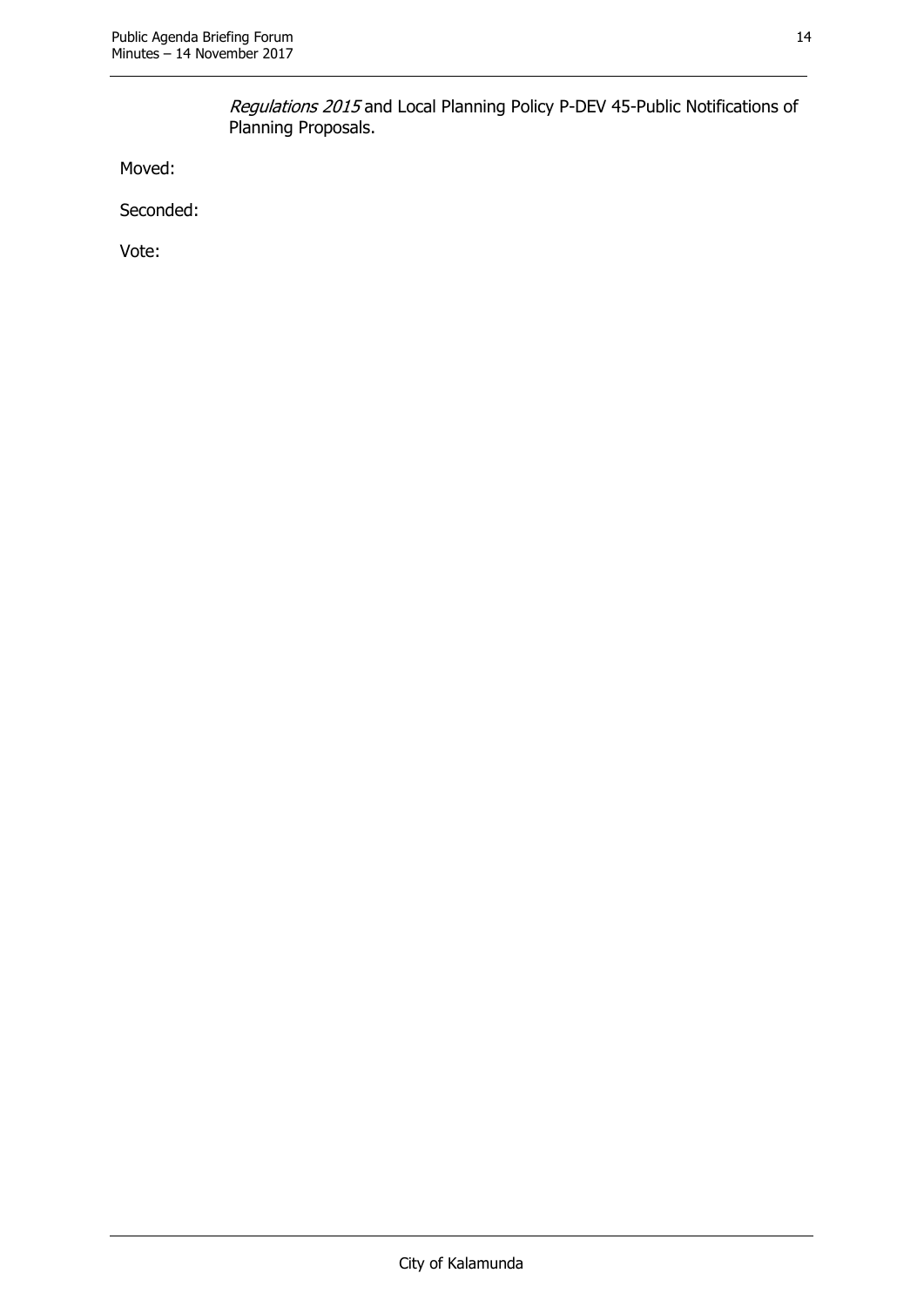Regulations 2015 and Local Planning Policy P-DEV 45-Public Notifications of Planning Proposals.

Moved:

Seconded: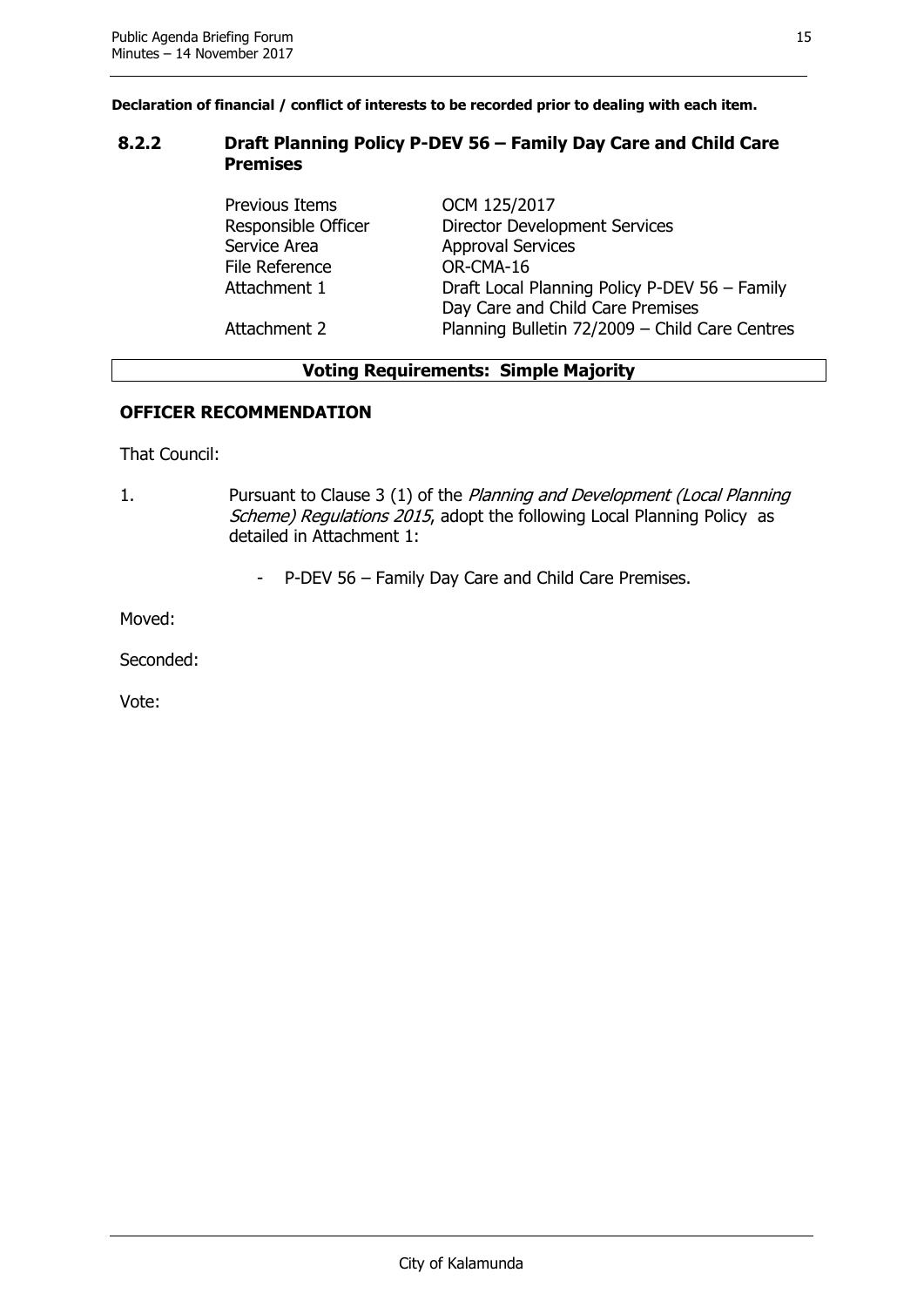#### <span id="page-15-0"></span>**8.2.2 Draft Planning Policy P-DEV 56 – Family Day Care and Child Care Premises**

Previous Items **OCM 125/2017** Service Area **Approval Services** File Reference OR-CMA-16

Responsible Officer Director Development Services Attachment 1 Draft Local Planning Policy P-DEV 56 – Family Day Care and Child Care Premises Attachment 2 Planning Bulletin 72/2009 – Child Care Centres

#### **Voting Requirements: Simple Majority**

#### **OFFICER RECOMMENDATION**

That Council:

- 1. Pursuant to Clause 3 (1) of the Planning and Development (Local Planning Scheme) Regulations 2015, adopt the following Local Planning Policy as detailed in Attachment 1:
	- P-DEV 56 Family Day Care and Child Care Premises.

Moved:

Seconded: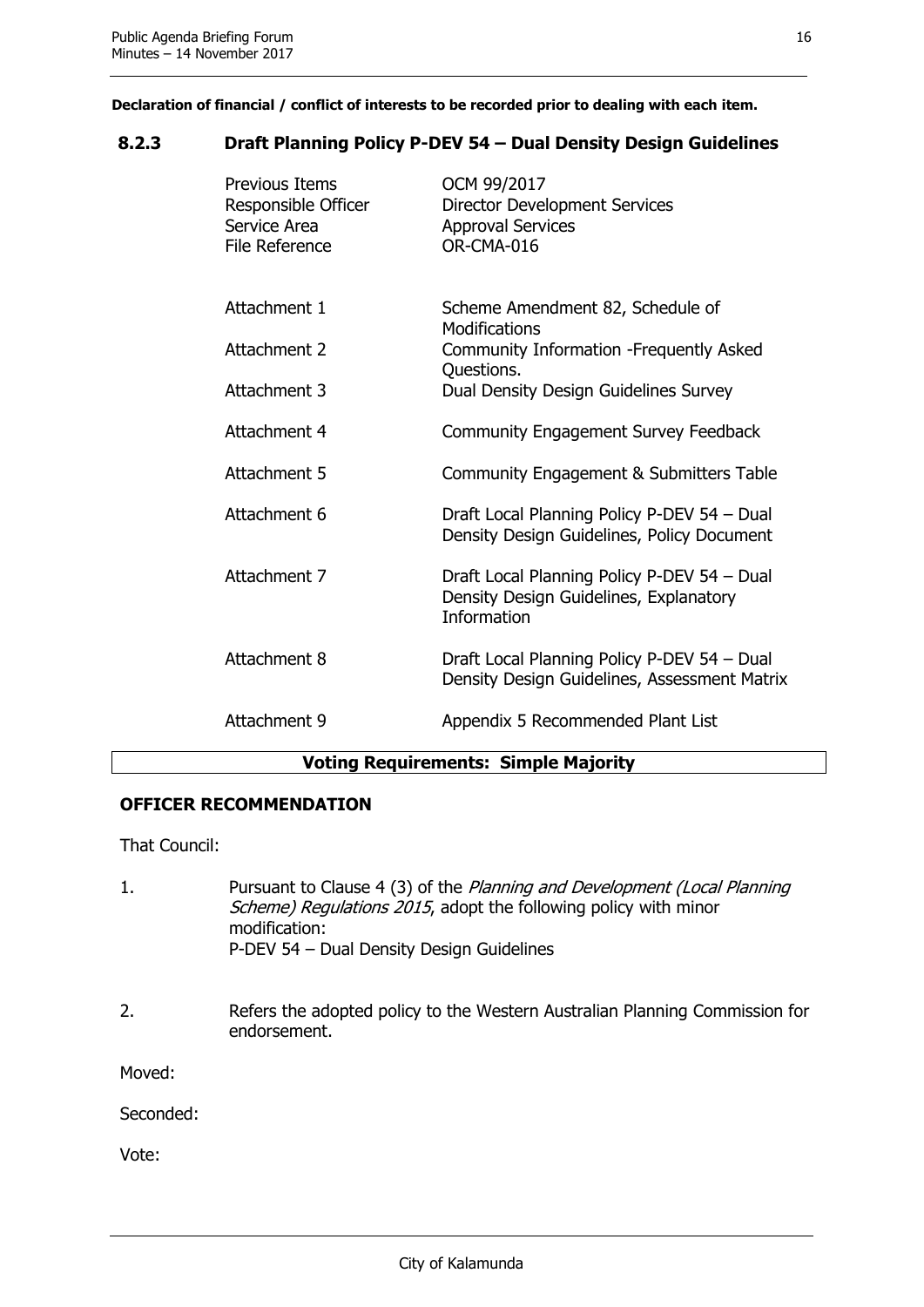#### <span id="page-16-0"></span>**8.2.3 Draft Planning Policy P-DEV 54 – Dual Density Design Guidelines**

| <b>Previous Items</b><br>Responsible Officer<br>Service Area<br><b>File Reference</b> | OCM 99/2017<br>Director Development Services<br><b>Approval Services</b><br>OR-CMA-016                      |
|---------------------------------------------------------------------------------------|-------------------------------------------------------------------------------------------------------------|
| Attachment 1                                                                          | Scheme Amendment 82, Schedule of<br><b>Modifications</b>                                                    |
| Attachment 2                                                                          | Community Information - Frequently Asked                                                                    |
| Attachment 3                                                                          | Questions.<br>Dual Density Design Guidelines Survey                                                         |
| Attachment 4                                                                          | Community Engagement Survey Feedback                                                                        |
| Attachment 5                                                                          | Community Engagement & Submitters Table                                                                     |
| Attachment 6                                                                          | Draft Local Planning Policy P-DEV 54 - Dual<br>Density Design Guidelines, Policy Document                   |
| Attachment 7                                                                          | Draft Local Planning Policy P-DEV 54 - Dual<br>Density Design Guidelines, Explanatory<br><b>Information</b> |
| Attachment 8                                                                          | Draft Local Planning Policy P-DEV 54 - Dual<br>Density Design Guidelines, Assessment Matrix                 |
| Attachment 9                                                                          | Appendix 5 Recommended Plant List                                                                           |
| .                                                                                     | $\mathbf{a}$ . The set of the set of $\mathbf{a}$                                                           |

#### **Voting Requirements: Simple Majority**

#### **OFFICER RECOMMENDATION**

That Council:

- 1. Pursuant to Clause 4 (3) of the Planning and Development (Local Planning Scheme) Regulations 2015, adopt the following policy with minor modification: P-DEV 54 – Dual Density Design Guidelines
- 2. Refers the adopted policy to the Western Australian Planning Commission for endorsement.

Moved:

Seconded: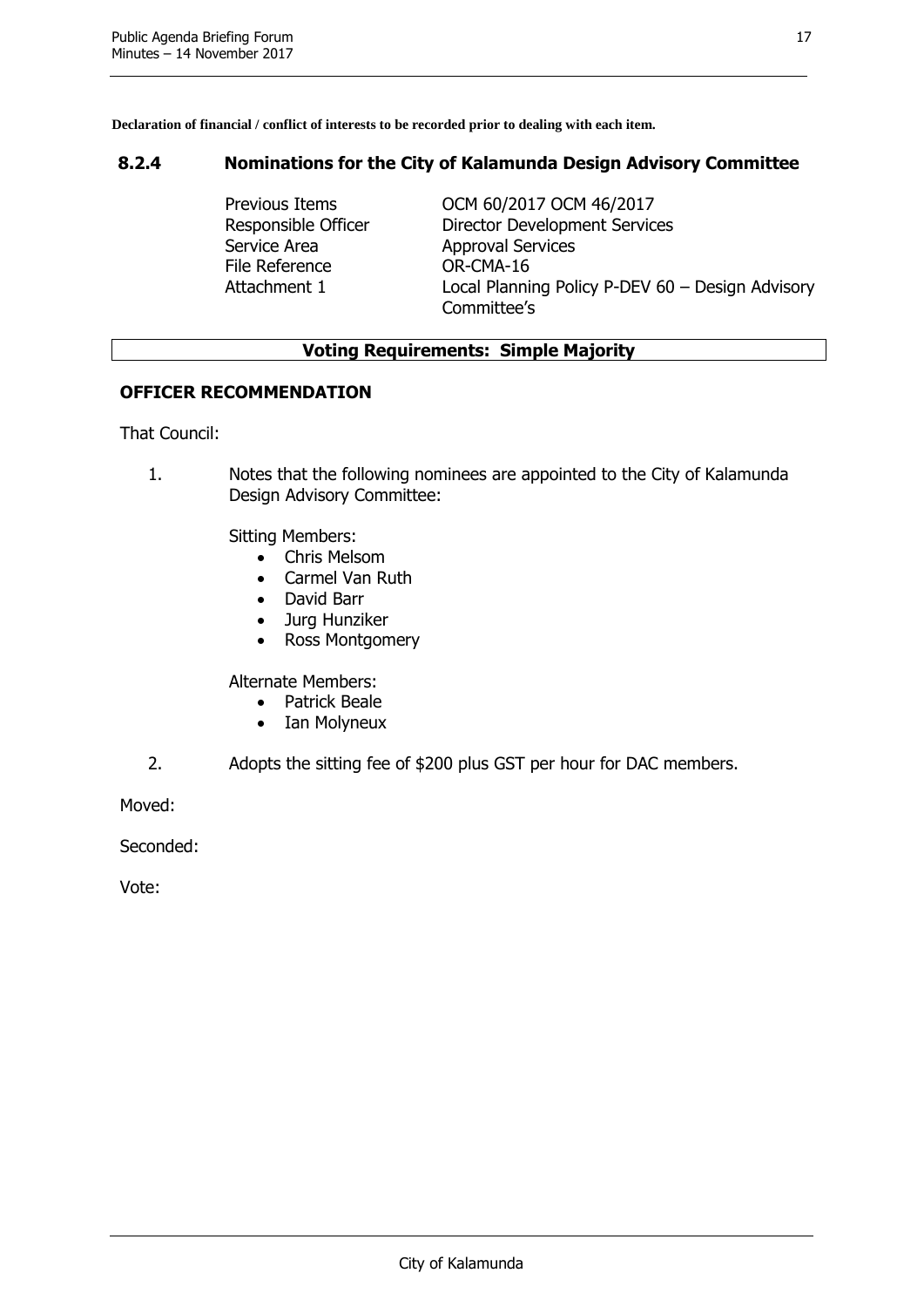#### <span id="page-17-0"></span>**8.2.4 Nominations for the City of Kalamunda Design Advisory Committee**

Service Area **Approval Services** File Reference **OR-CMA-16** 

Previous Items OCM 60/2017 OCM 46/2017 Responsible Officer Director Development Services Attachment 1 Local Planning Policy P-DEV 60 – Design Advisory Committee's

#### **Voting Requirements: Simple Majority**

#### **OFFICER RECOMMENDATION**

That Council:

1. Notes that the following nominees are appointed to the City of Kalamunda Design Advisory Committee:

Sitting Members:

- Chris Melsom
- Carmel Van Ruth
- David Barr
- Jurg Hunziker
- Ross Montgomery

Alternate Members:

- Patrick Beale
- Ian Molvneux
- 2. Adopts the sitting fee of \$200 plus GST per hour for DAC members.

Moved:

Seconded: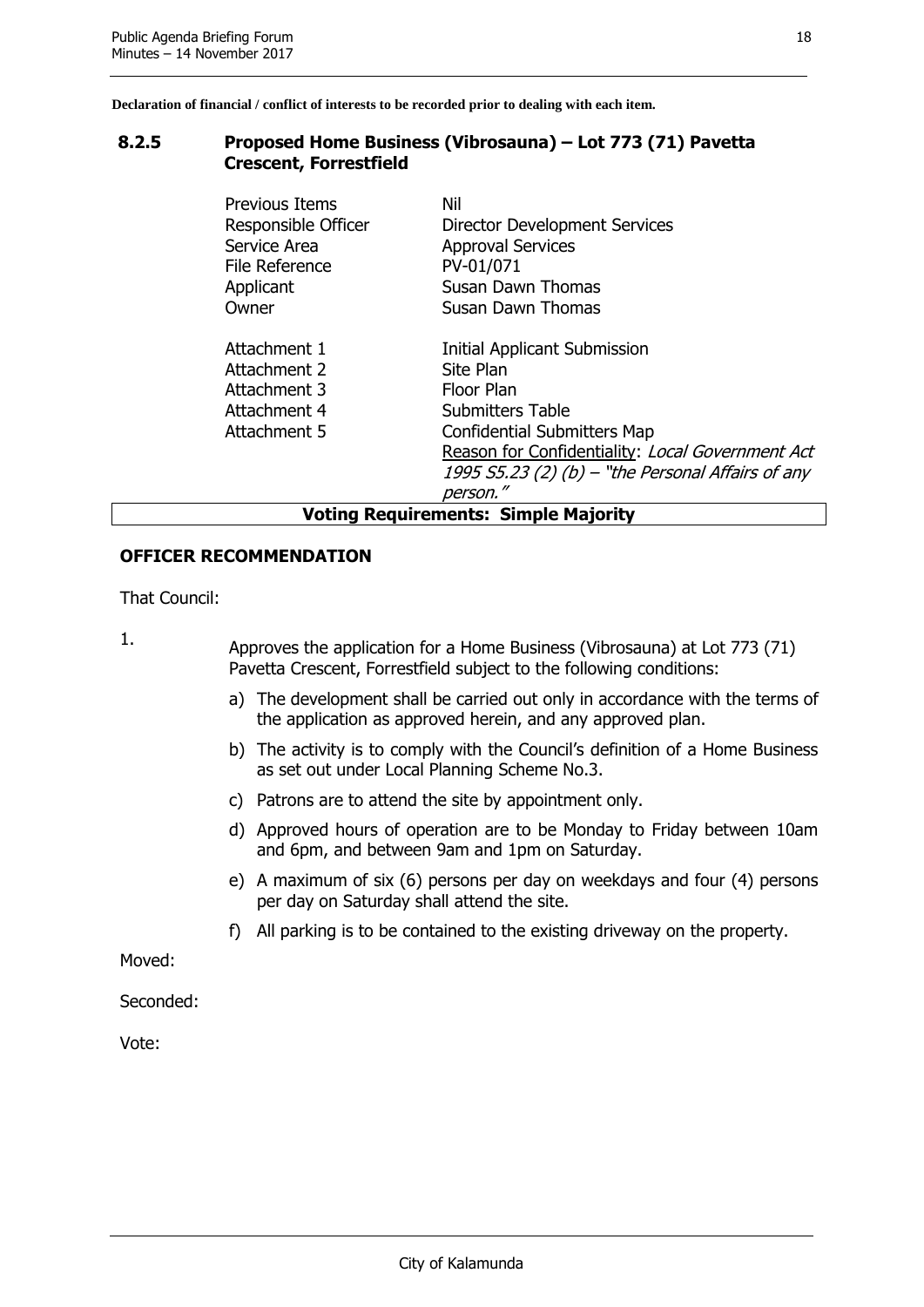#### <span id="page-18-0"></span>**8.2.5 Proposed Home Business (Vibrosauna) – Lot 773 (71) Pavetta Crescent, Forrestfield**

| Previous Items<br>Responsible Officer<br>Service Area<br>File Reference<br>Applicant<br>Owner | Nil<br><b>Director Development Services</b><br><b>Approval Services</b><br>PV-01/071<br>Susan Dawn Thomas<br>Susan Dawn Thomas                                                                                                                       |  |
|-----------------------------------------------------------------------------------------------|------------------------------------------------------------------------------------------------------------------------------------------------------------------------------------------------------------------------------------------------------|--|
|                                                                                               |                                                                                                                                                                                                                                                      |  |
| Attachment 1<br>Attachment 2<br>Attachment 3<br>Attachment 4<br>Attachment 5                  | <b>Initial Applicant Submission</b><br>Site Plan<br>Floor Plan<br><b>Submitters Table</b><br><b>Confidential Submitters Map</b><br>Reason for Confidentiality: Local Government Act<br>1995 S5.23 (2) (b) – "the Personal Affairs of any<br>person." |  |
| <b>Voting Requirements: Simple Majority</b>                                                   |                                                                                                                                                                                                                                                      |  |

#### **OFFICER RECOMMENDATION**

That Council:

1. Approves the application for a Home Business (Vibrosauna) at Lot 773 (71) Pavetta Crescent, Forrestfield subject to the following conditions:

- a) The development shall be carried out only in accordance with the terms of the application as approved herein, and any approved plan.
- b) The activity is to comply with the Council's definition of a Home Business as set out under Local Planning Scheme No.3.
- c) Patrons are to attend the site by appointment only.
- d) Approved hours of operation are to be Monday to Friday between 10am and 6pm, and between 9am and 1pm on Saturday.
- e) A maximum of six (6) persons per day on weekdays and four (4) persons per day on Saturday shall attend the site.
- f) All parking is to be contained to the existing driveway on the property.

Moved:

Seconded: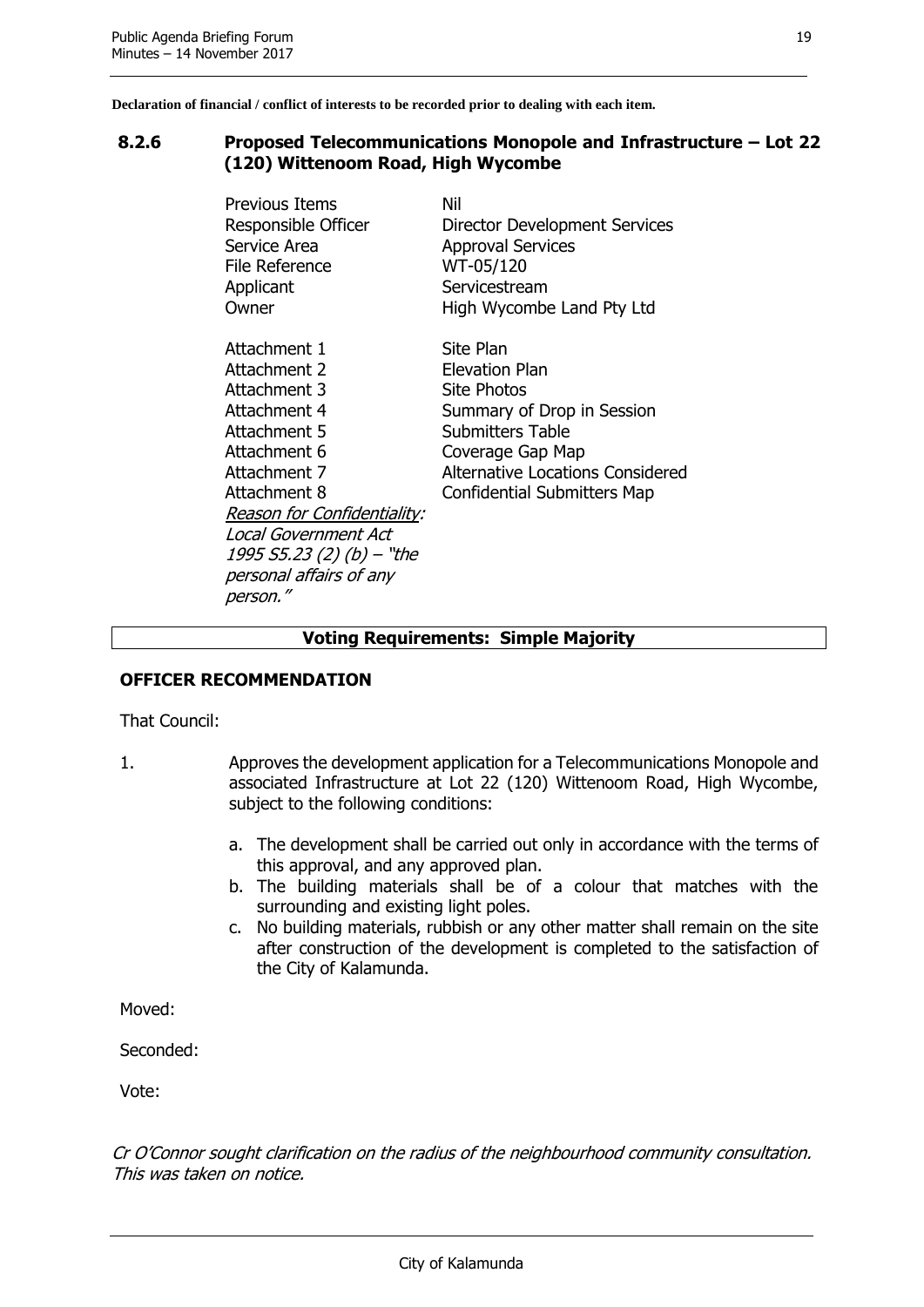#### <span id="page-19-0"></span>**8.2.6 Proposed Telecommunications Monopole and Infrastructure – Lot 22 (120) Wittenoom Road, High Wycombe**

| Previous Items<br>Responsible Officer<br>Service Area<br>File Reference<br>Applicant<br>Owner | Nil<br>Director Development Services<br><b>Approval Services</b><br>WT-05/120<br>Servicestream<br>High Wycombe Land Pty Ltd |
|-----------------------------------------------------------------------------------------------|-----------------------------------------------------------------------------------------------------------------------------|
| Attachment 1                                                                                  | Site Plan                                                                                                                   |
| Attachment 2                                                                                  | Elevation Plan                                                                                                              |
| Attachment 3                                                                                  | <b>Site Photos</b>                                                                                                          |
| Attachment 4                                                                                  | Summary of Drop in Session                                                                                                  |
| Attachment 5                                                                                  | <b>Submitters Table</b>                                                                                                     |
| Attachment 6                                                                                  | Coverage Gap Map                                                                                                            |
| Attachment 7                                                                                  | Alternative Locations Considered                                                                                            |
| Attachment 8                                                                                  | <b>Confidential Submitters Map</b>                                                                                          |
| <b>Reason for Confidentiality:</b>                                                            |                                                                                                                             |
| Local Government Act                                                                          |                                                                                                                             |
| $1995 S5.23 (2) (b) - "the"$                                                                  |                                                                                                                             |
| personal affairs of any                                                                       |                                                                                                                             |
| person."                                                                                      |                                                                                                                             |

#### **Voting Requirements: Simple Majority**

#### **OFFICER RECOMMENDATION**

That Council:

- 1. Approves the development application for a Telecommunications Monopole and associated Infrastructure at Lot 22 (120) Wittenoom Road, High Wycombe, subject to the following conditions:
	- a. The development shall be carried out only in accordance with the terms of this approval, and any approved plan.
	- b. The building materials shall be of a colour that matches with the surrounding and existing light poles.
	- c. No building materials, rubbish or any other matter shall remain on the site after construction of the development is completed to the satisfaction of the City of Kalamunda.

Moved:

Seconded:

Vote:

Cr O'Connor sought clarification on the radius of the neighbourhood community consultation. This was taken on notice.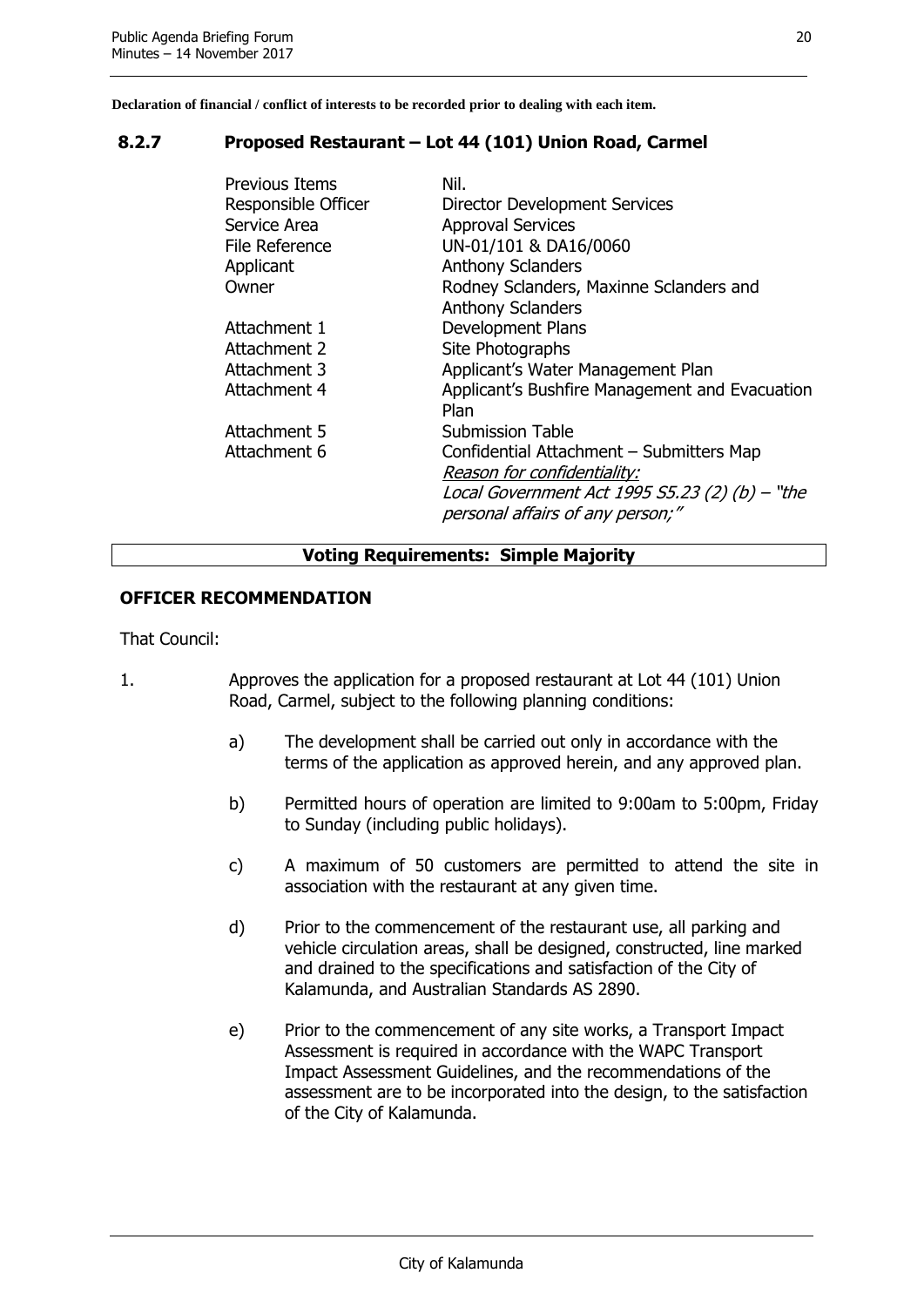#### <span id="page-20-0"></span>**8.2.7 Proposed Restaurant – Lot 44 (101) Union Road, Carmel**

| Previous Items<br>Responsible Officer<br>Service Area<br>File Reference<br>Applicant<br>Owner | Nil.<br>Director Development Services<br><b>Approval Services</b><br>UN-01/101 & DA16/0060<br><b>Anthony Sclanders</b><br>Rodney Sclanders, Maxinne Sclanders and<br><b>Anthony Sclanders</b> |
|-----------------------------------------------------------------------------------------------|-----------------------------------------------------------------------------------------------------------------------------------------------------------------------------------------------|
| Attachment 1                                                                                  | <b>Development Plans</b>                                                                                                                                                                      |
| Attachment 2                                                                                  | Site Photographs                                                                                                                                                                              |
| Attachment 3                                                                                  | Applicant's Water Management Plan                                                                                                                                                             |
| Attachment 4                                                                                  | Applicant's Bushfire Management and Evacuation<br>Plan                                                                                                                                        |
| Attachment 5                                                                                  | <b>Submission Table</b>                                                                                                                                                                       |
| Attachment 6                                                                                  | Confidential Attachment - Submitters Map                                                                                                                                                      |
|                                                                                               | Reason for confidentiality:<br>Local Government Act 1995 $55.23$ (2) (b) $-$ "the<br>personal affairs of any person;"                                                                         |

#### **Voting Requirements: Simple Majority**

#### **OFFICER RECOMMENDATION**

That Council:

- 1. Approves the application for a proposed restaurant at Lot 44 (101) Union Road, Carmel, subject to the following planning conditions:
	- a) The development shall be carried out only in accordance with the terms of the application as approved herein, and any approved plan.
	- b) Permitted hours of operation are limited to 9:00am to 5:00pm, Friday to Sunday (including public holidays).
	- c) A maximum of 50 customers are permitted to attend the site in association with the restaurant at any given time.
	- d) Prior to the commencement of the restaurant use, all parking and vehicle circulation areas, shall be designed, constructed, line marked and drained to the specifications and satisfaction of the City of Kalamunda, and Australian Standards AS 2890.
	- e) Prior to the commencement of any site works, a Transport Impact Assessment is required in accordance with the WAPC Transport Impact Assessment Guidelines, and the recommendations of the assessment are to be incorporated into the design, to the satisfaction of the City of Kalamunda.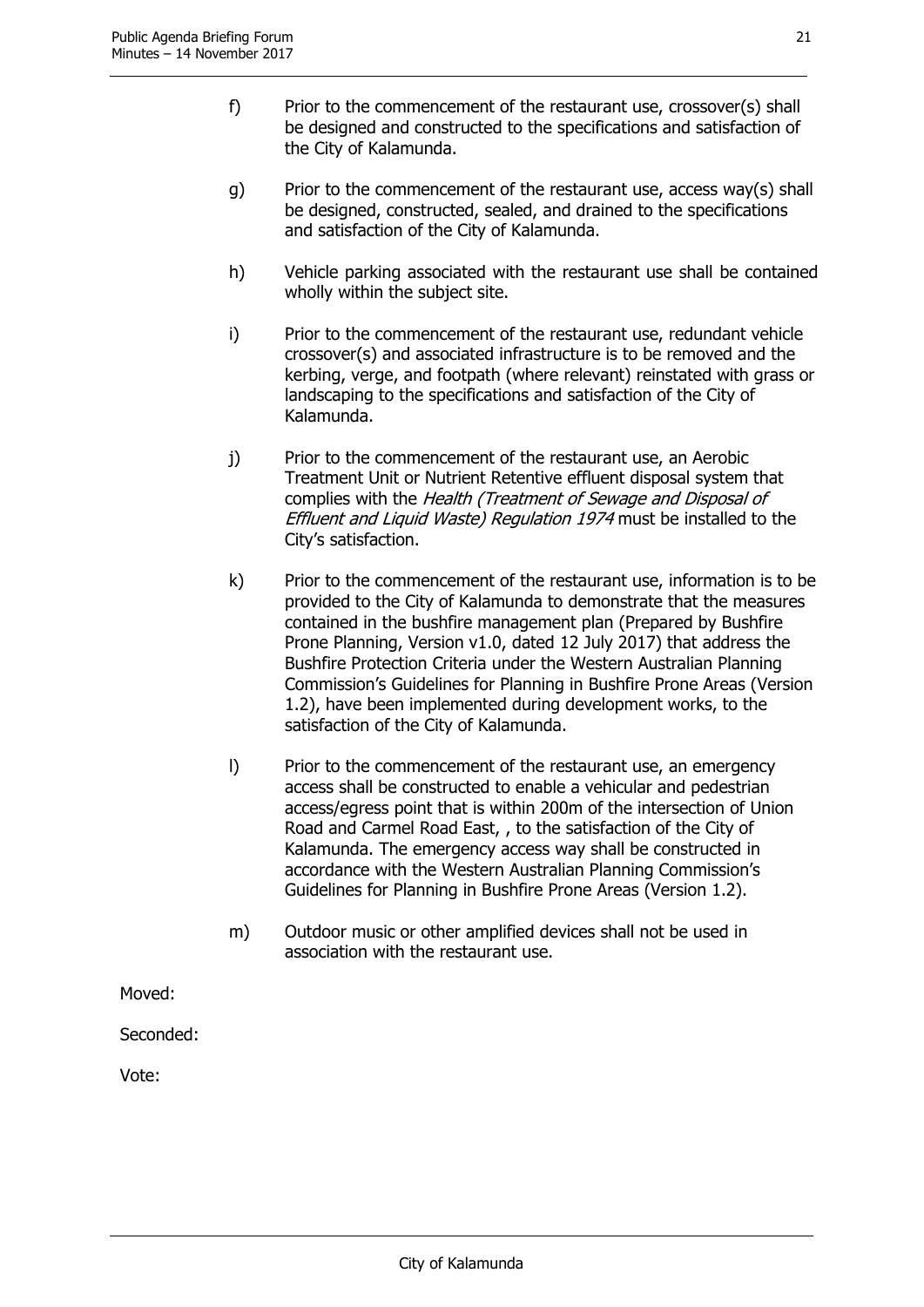- f) Prior to the commencement of the restaurant use, crossover(s) shall be designed and constructed to the specifications and satisfaction of the City of Kalamunda.
- g) Prior to the commencement of the restaurant use, access way(s) shall be designed, constructed, sealed, and drained to the specifications and satisfaction of the City of Kalamunda.
- h) Vehicle parking associated with the restaurant use shall be contained wholly within the subject site.
- i) Prior to the commencement of the restaurant use, redundant vehicle crossover(s) and associated infrastructure is to be removed and the kerbing, verge, and footpath (where relevant) reinstated with grass or landscaping to the specifications and satisfaction of the City of Kalamunda.
- j) Prior to the commencement of the restaurant use, an Aerobic Treatment Unit or Nutrient Retentive effluent disposal system that complies with the Health (Treatment of Sewage and Disposal of Effluent and Liquid Waste) Regulation 1974 must be installed to the City's satisfaction.
- k) Prior to the commencement of the restaurant use, information is to be provided to the City of Kalamunda to demonstrate that the measures contained in the bushfire management plan (Prepared by Bushfire Prone Planning, Version v1.0, dated 12 July 2017) that address the Bushfire Protection Criteria under the Western Australian Planning Commission's Guidelines for Planning in Bushfire Prone Areas (Version 1.2), have been implemented during development works, to the satisfaction of the City of Kalamunda.
- l) Prior to the commencement of the restaurant use, an emergency access shall be constructed to enable a vehicular and pedestrian access/egress point that is within 200m of the intersection of Union Road and Carmel Road East, , to the satisfaction of the City of Kalamunda. The emergency access way shall be constructed in accordance with the Western Australian Planning Commission's Guidelines for Planning in Bushfire Prone Areas (Version 1.2).
- m) Outdoor music or other amplified devices shall not be used in association with the restaurant use.

Moved:

Seconded: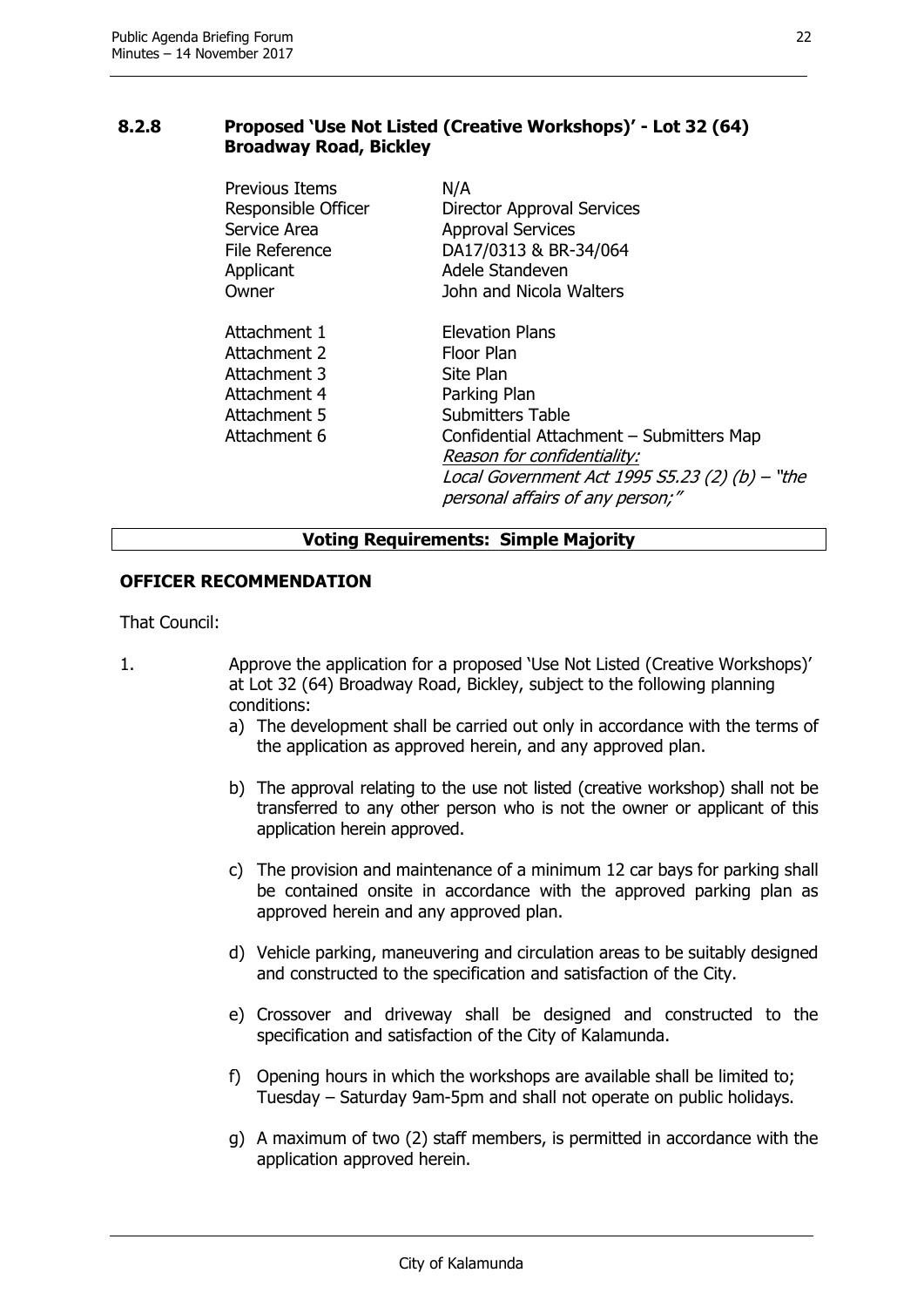#### <span id="page-22-0"></span>**8.2.8 Proposed 'Use Not Listed (Creative Workshops)' - Lot 32 (64) Broadway Road, Bickley**

| Previous Items                                                                               | N/A                                                                                                                                                                                                                                                           |
|----------------------------------------------------------------------------------------------|---------------------------------------------------------------------------------------------------------------------------------------------------------------------------------------------------------------------------------------------------------------|
| Responsible Officer                                                                          | Director Approval Services                                                                                                                                                                                                                                    |
| Service Area                                                                                 | <b>Approval Services</b>                                                                                                                                                                                                                                      |
| File Reference                                                                               | DA17/0313 & BR-34/064                                                                                                                                                                                                                                         |
| Applicant                                                                                    | Adele Standeven                                                                                                                                                                                                                                               |
| Owner                                                                                        | John and Nicola Walters                                                                                                                                                                                                                                       |
| Attachment 1<br>Attachment 2<br>Attachment 3<br>Attachment 4<br>Attachment 5<br>Attachment 6 | <b>Elevation Plans</b><br>Floor Plan<br>Site Plan<br>Parking Plan<br><b>Submitters Table</b><br>Confidential Attachment - Submitters Map<br>Reason for confidentiality:<br>Local Government Act 1995 S5.23 (2) (b) - "the<br>personal affairs of any person;" |

#### **Voting Requirements: Simple Majority**

#### **OFFICER RECOMMENDATION**

That Council:

- 1. Approve the application for a proposed 'Use Not Listed (Creative Workshops)' at Lot 32 (64) Broadway Road, Bickley, subject to the following planning conditions:
	- a) The development shall be carried out only in accordance with the terms of the application as approved herein, and any approved plan.
	- b) The approval relating to the use not listed (creative workshop) shall not be transferred to any other person who is not the owner or applicant of this application herein approved.
	- c) The provision and maintenance of a minimum 12 car bays for parking shall be contained onsite in accordance with the approved parking plan as approved herein and any approved plan.
	- d) Vehicle parking, maneuvering and circulation areas to be suitably designed and constructed to the specification and satisfaction of the City.
	- e) Crossover and driveway shall be designed and constructed to the specification and satisfaction of the City of Kalamunda.
	- f) Opening hours in which the workshops are available shall be limited to; Tuesday – Saturday 9am-5pm and shall not operate on public holidays.
	- g) A maximum of two (2) staff members, is permitted in accordance with the application approved herein.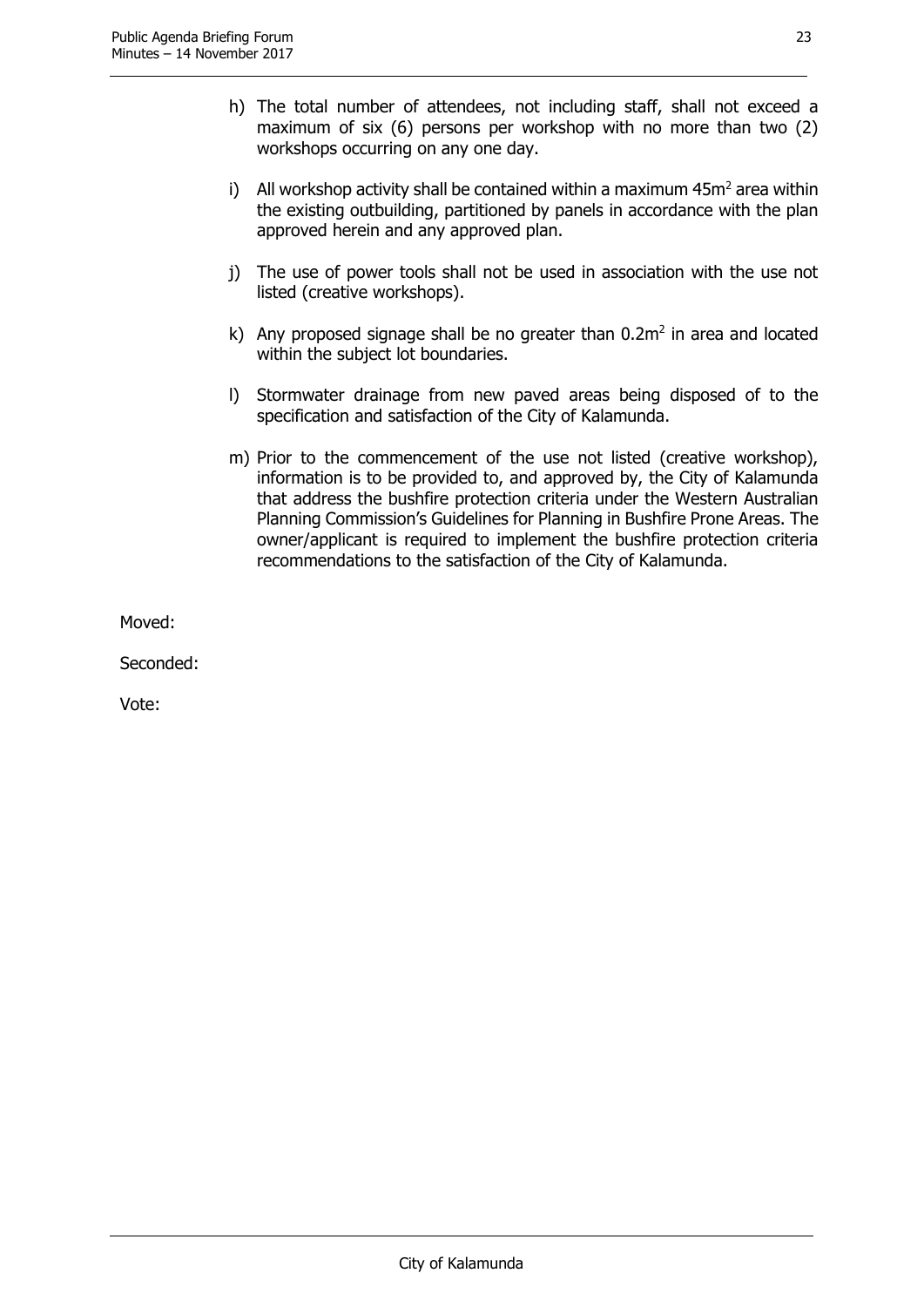- h) The total number of attendees, not including staff, shall not exceed a maximum of six (6) persons per workshop with no more than two (2) workshops occurring on any one day.
- i) All workshop activity shall be contained within a maximum  $45m<sup>2</sup>$  area within the existing outbuilding, partitioned by panels in accordance with the plan approved herein and any approved plan.
- j) The use of power tools shall not be used in association with the use not listed (creative workshops).
- k) Any proposed signage shall be no greater than  $0.2m^2$  in area and located within the subject lot boundaries.
- l) Stormwater drainage from new paved areas being disposed of to the specification and satisfaction of the City of Kalamunda.
- m) Prior to the commencement of the use not listed (creative workshop), information is to be provided to, and approved by, the City of Kalamunda that address the bushfire protection criteria under the Western Australian Planning Commission's Guidelines for Planning in Bushfire Prone Areas. The owner/applicant is required to implement the bushfire protection criteria recommendations to the satisfaction of the City of Kalamunda.

Moved:

Seconded: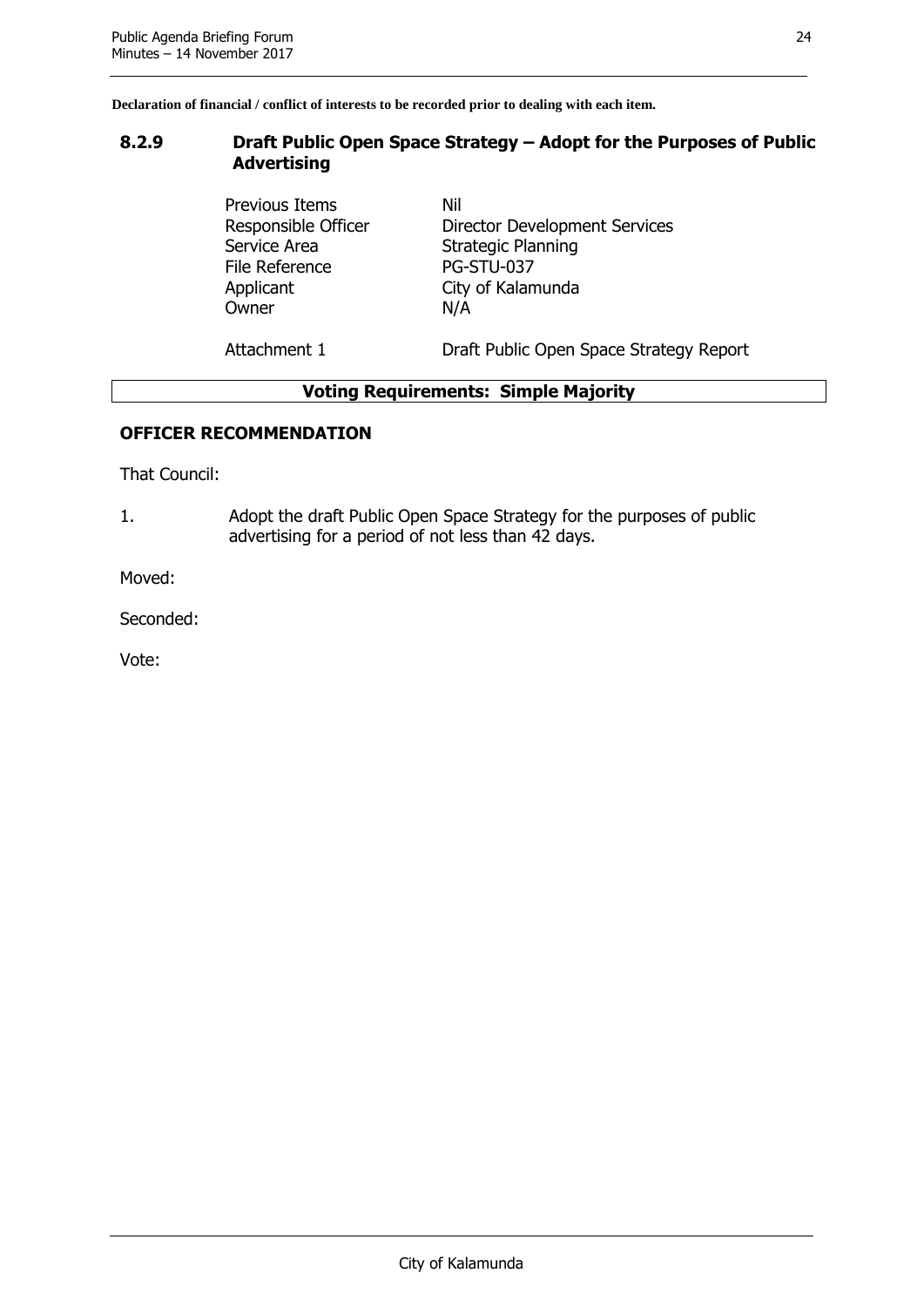#### <span id="page-24-0"></span>**8.2.9 Draft Public Open Space Strategy – Adopt for the Purposes of Public Advertising**

Previous Items Nil Service Area Strategic Planning File Reference PG-STU-037 Applicant City of Kalamunda Owner N/A

Responsible Officer Director Development Services

Attachment 1 **Draft Public Open Space Strategy Report** 

#### **Voting Requirements: Simple Majority**

#### **OFFICER RECOMMENDATION**

That Council:

1. Adopt the draft Public Open Space Strategy for the purposes of public advertising for a period of not less than 42 days.

Moved:

Seconded: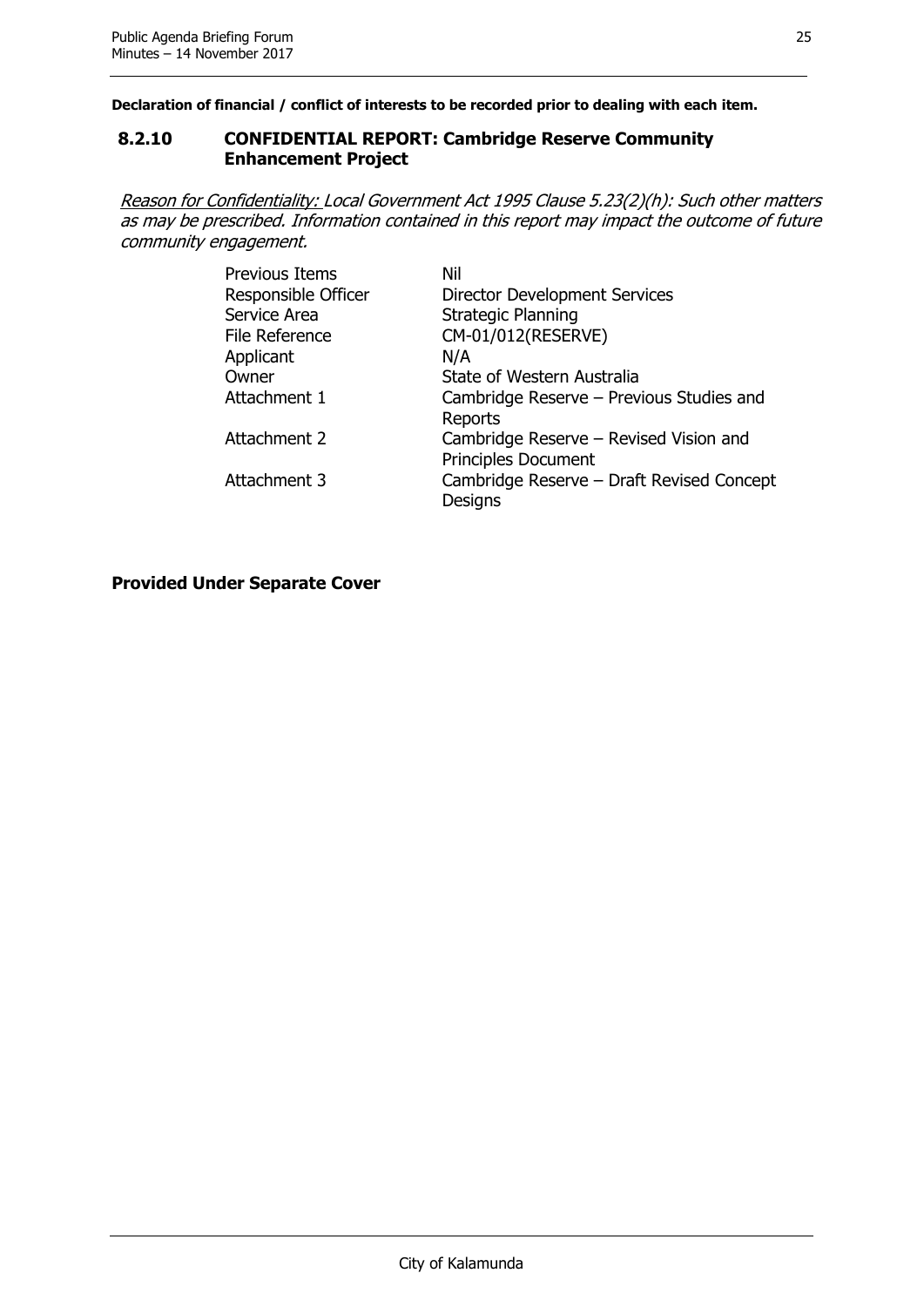#### <span id="page-25-0"></span>**8.2.10 CONFIDENTIAL REPORT: Cambridge Reserve Community Enhancement Project**

Reason for Confidentiality: Local Government Act 1995 Clause 5.23(2)(h): Such other matters as may be prescribed. Information contained in this report may impact the outcome of future community engagement.

| <b>Previous Items</b> | Nil                                       |
|-----------------------|-------------------------------------------|
| Responsible Officer   | <b>Director Development Services</b>      |
| Service Area          | <b>Strategic Planning</b>                 |
| File Reference        | CM-01/012(RESERVE)                        |
| Applicant             | N/A                                       |
| Owner                 | State of Western Australia                |
| Attachment 1          | Cambridge Reserve - Previous Studies and  |
|                       | Reports                                   |
| Attachment 2          | Cambridge Reserve - Revised Vision and    |
|                       | Principles Document                       |
| Attachment 3          | Cambridge Reserve - Draft Revised Concept |
|                       | Designs                                   |

**Provided Under Separate Cover**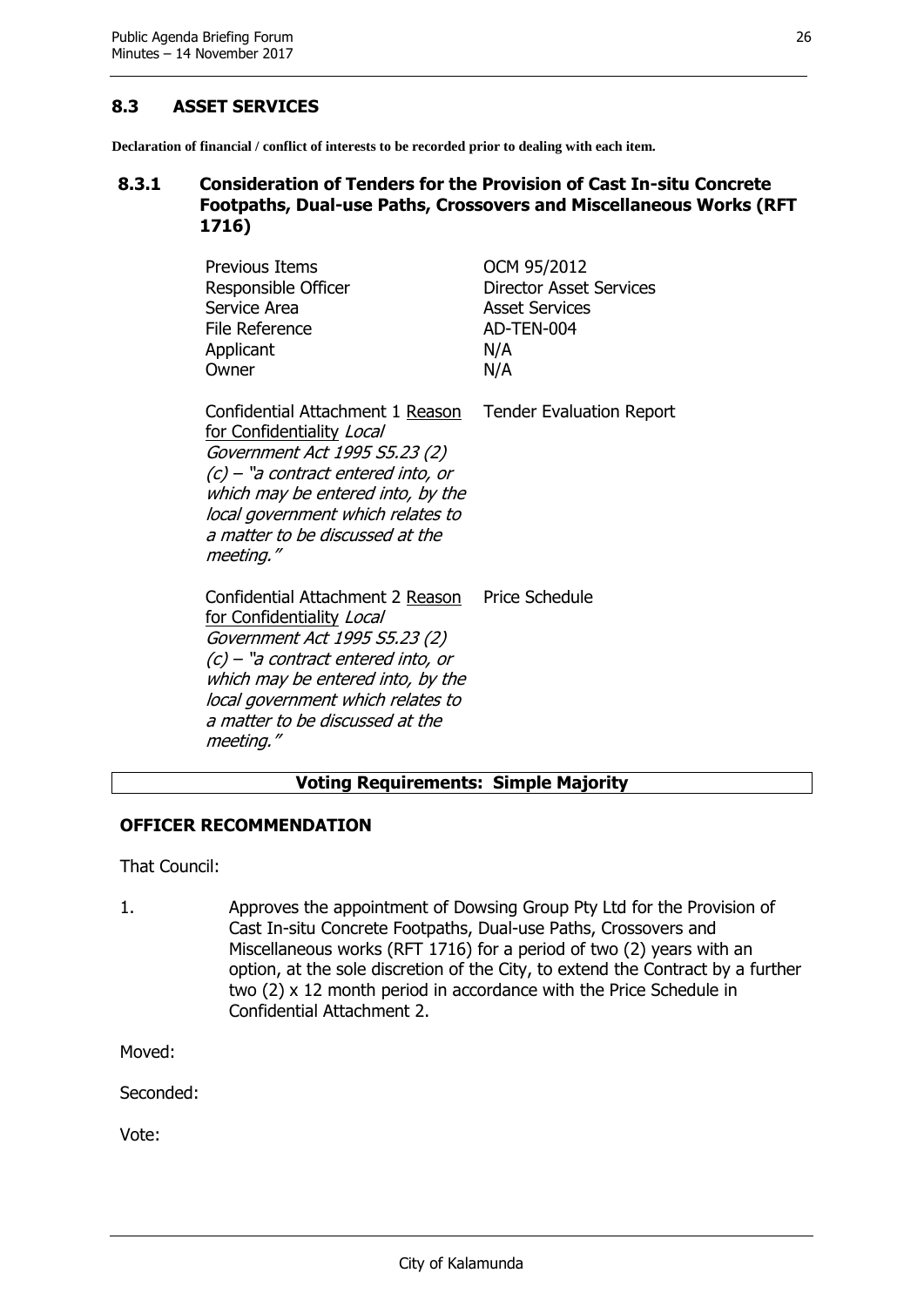#### <span id="page-26-0"></span>**8.3 ASSET SERVICES**

**Declaration of financial / conflict of interests to be recorded prior to dealing with each item.**

#### <span id="page-26-1"></span>**8.3.1 Consideration of Tenders for the Provision of Cast In-situ Concrete Footpaths, Dual-use Paths, Crossovers and Miscellaneous Works (RFT 1716)**

| <b>Previous Items</b><br>Responsible Officer<br>Service Area<br><b>File Reference</b><br>Applicant<br>Owner                                                                                                                                                      | OCM 95/2012<br><b>Director Asset Services</b><br><b>Asset Services</b><br>AD-TEN-004<br>N/A<br>N/A |
|------------------------------------------------------------------------------------------------------------------------------------------------------------------------------------------------------------------------------------------------------------------|----------------------------------------------------------------------------------------------------|
| Confidential Attachment 1 Reason<br>for Confidentiality Local<br>Government Act 1995 S5.23 (2)<br>$(c)$ – "a contract entered into, or<br>which may be entered into, by the<br>local government which relates to<br>a matter to be discussed at the<br>meeting." | <b>Tender Evaluation Report</b>                                                                    |
| Confidential Attachment 2 Reason<br>for Confidentiality Local<br>Government Act 1995 S5.23 (2)<br>$(c)$ – "a contract entered into, or<br>which may be entered into, by the<br>local government which relates to<br>a matter to be discussed at the<br>meeting." | <b>Price Schedule</b>                                                                              |

#### **Voting Requirements: Simple Majority**

#### **OFFICER RECOMMENDATION**

That Council:

1. Approves the appointment of Dowsing Group Pty Ltd for the Provision of Cast In-situ Concrete Footpaths, Dual-use Paths, Crossovers and Miscellaneous works (RFT 1716) for a period of two (2) years with an option, at the sole discretion of the City, to extend the Contract by a further two (2) x 12 month period in accordance with the Price Schedule in Confidential Attachment 2.

Moved:

Seconded: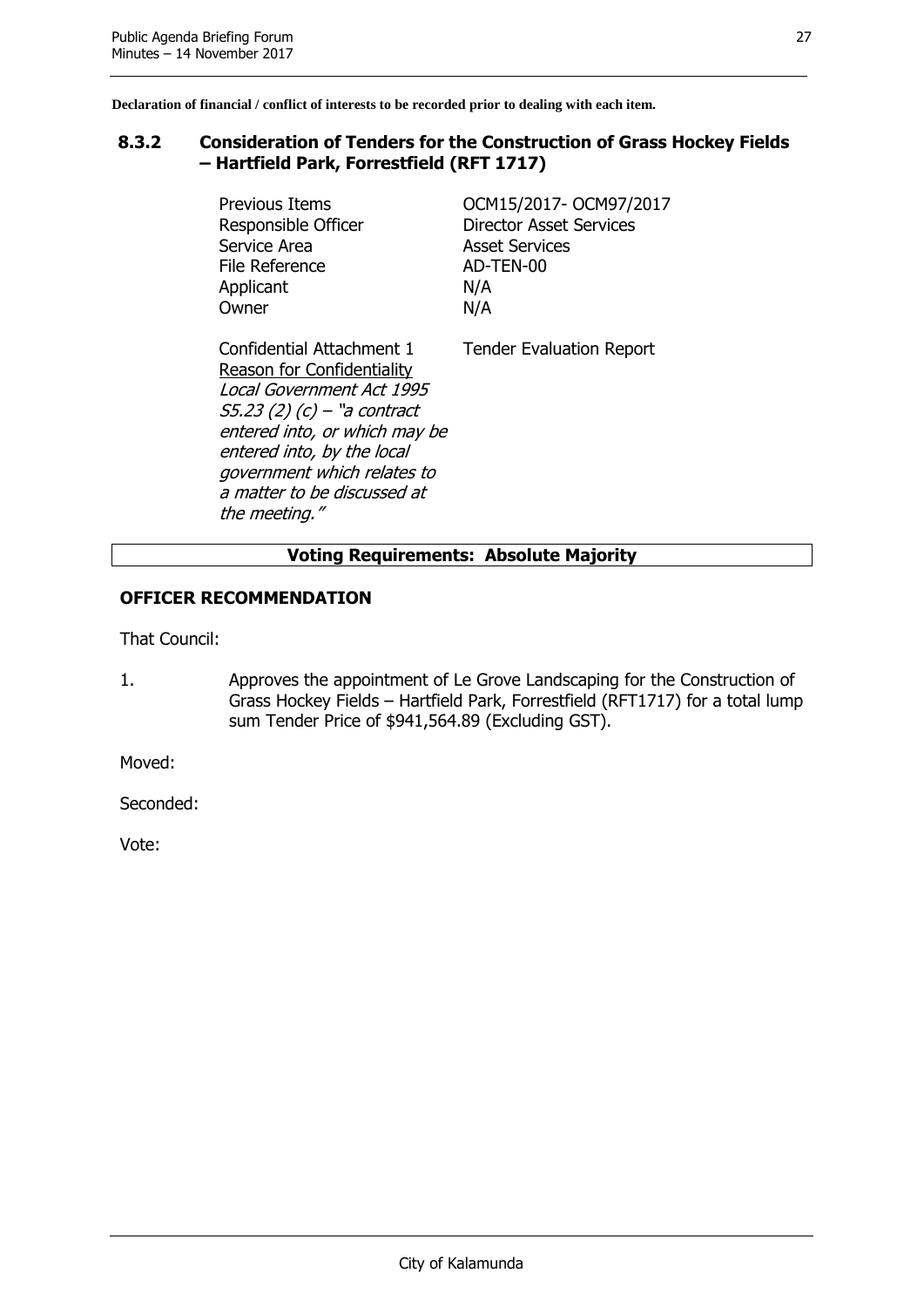#### <span id="page-27-0"></span>**8.3.2 Consideration of Tenders for the Construction of Grass Hockey Fields – Hartfield Park, Forrestfield (RFT 1717)**

Service Area **Asset Services** File Reference AD-TEN-00 Applicant N/A Owner N/A

Previous Items OCM15/2017- OCM97/2017 Responsible Officer **Director Asset Services** 

Confidential Attachment 1 Reason for Confidentiality Local Government Act 1995 S5.23 (2) (c) – "a contract entered into, or which may be entered into, by the local government which relates to a matter to be discussed at the meeting."

Tender Evaluation Report

#### **Voting Requirements: Absolute Majority**

#### **OFFICER RECOMMENDATION**

That Council:

1. Approves the appointment of Le Grove Landscaping for the Construction of Grass Hockey Fields – Hartfield Park, Forrestfield (RFT1717) for a total lump sum Tender Price of \$941,564.89 (Excluding GST).

Moved:

Seconded: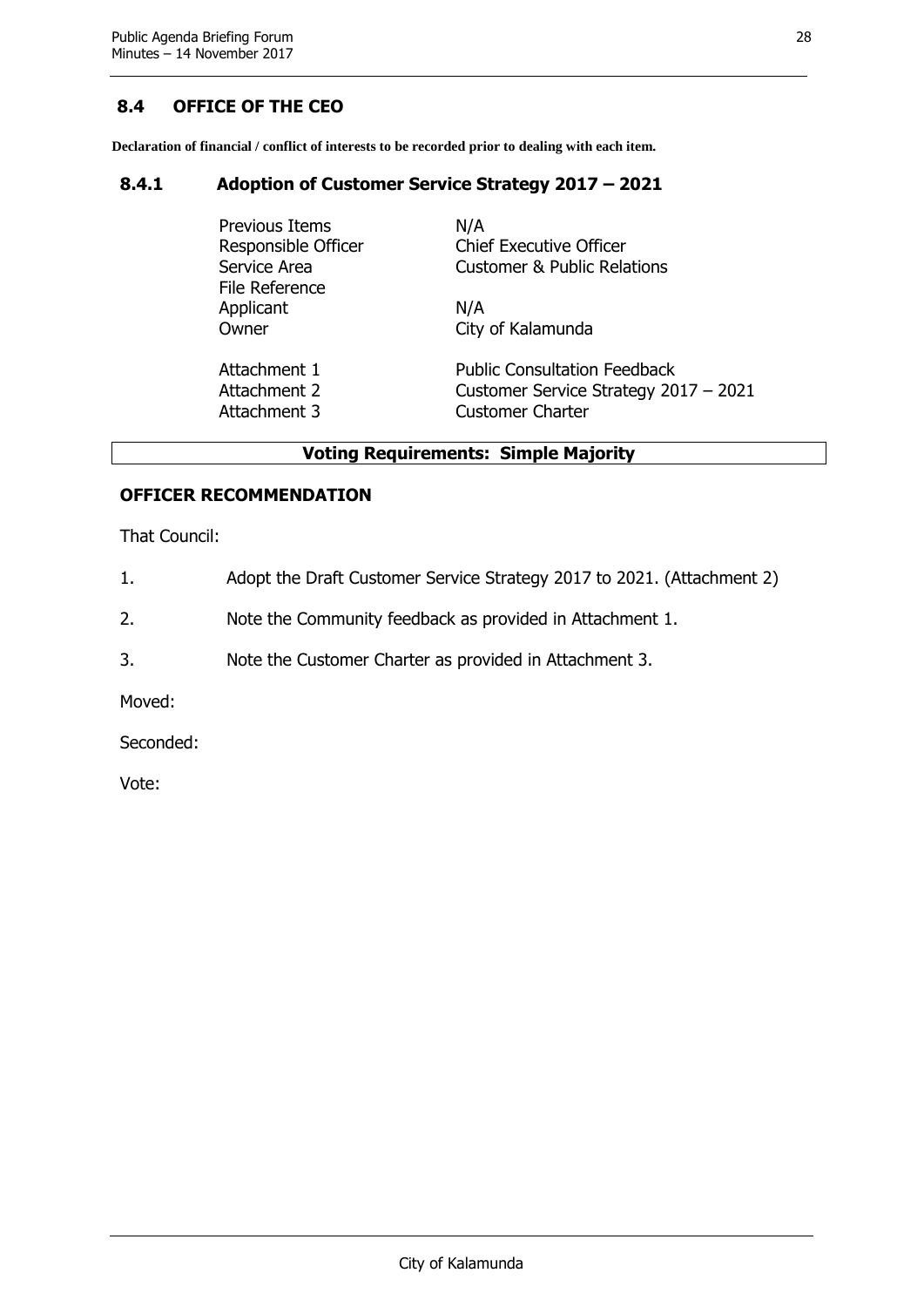#### <span id="page-28-0"></span>**8.4 OFFICE OF THE CEO**

**Declaration of financial / conflict of interests to be recorded prior to dealing with each item.**

#### <span id="page-28-1"></span>**8.4.1 Adoption of Customer Service Strategy 2017 – 2021**

| Previous Items<br>Responsible Officer<br>Service Area<br>File Reference | N/A<br><b>Chief Executive Officer</b><br><b>Customer &amp; Public Relations</b> |
|-------------------------------------------------------------------------|---------------------------------------------------------------------------------|
| Applicant                                                               | N/A                                                                             |
| Owner                                                                   | City of Kalamunda                                                               |
| Attachment 1                                                            | <b>Public Consultation Feedback</b>                                             |
| Attachment 2                                                            | Customer Service Strategy 2017 - 2021                                           |
| Attachment 3                                                            | <b>Customer Charter</b>                                                         |

#### **Voting Requirements: Simple Majority**

#### **OFFICER RECOMMENDATION**

That Council:

- 1. Adopt the Draft Customer Service Strategy 2017 to 2021. (Attachment 2)
- 2. Note the Community feedback as provided in Attachment 1.
- 3. Note the Customer Charter as provided in Attachment 3.

Moved:

Seconded: